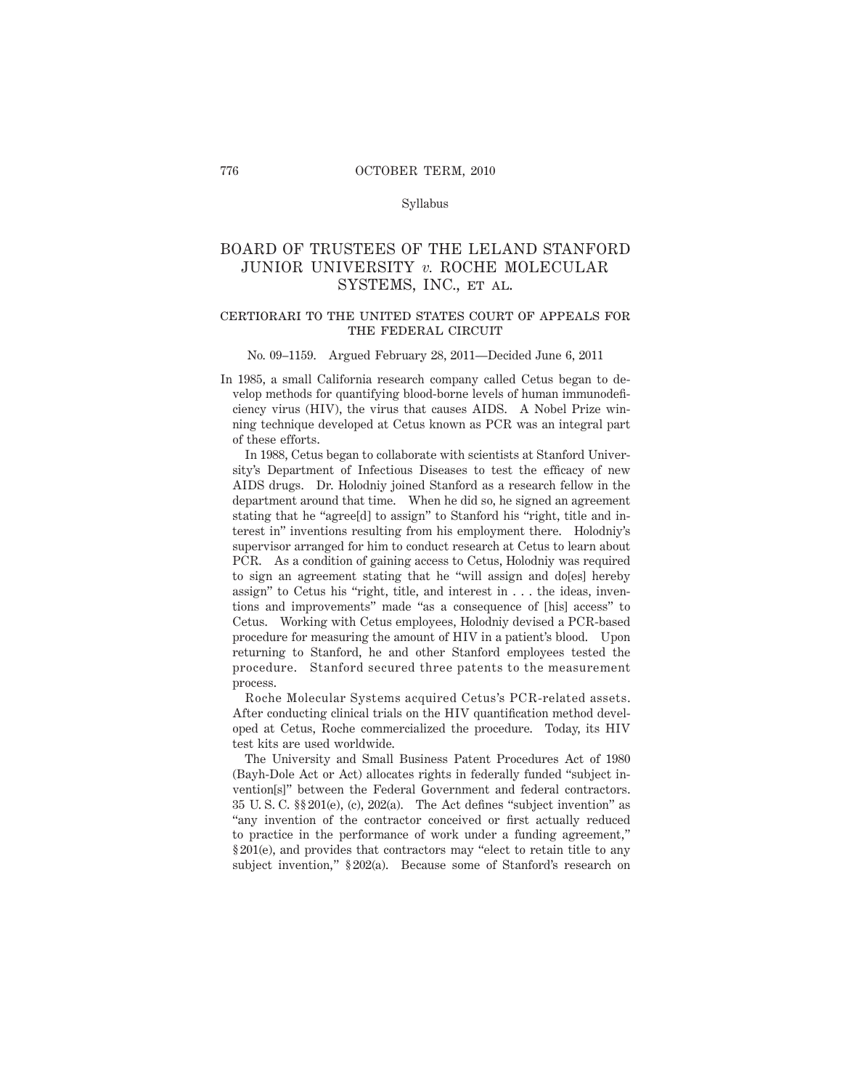#### Syllabus

## BOARD OF TRUSTEES OF THE LELAND STANFORD JUNIOR UNIVERSITY *v.* ROCHE MOLECULAR SYSTEMS, INC., et al.

#### certiorari to the united states court of appeals for the federal circuit

#### No. 09–1159. Argued February 28, 2011—Decided June 6, 2011

In 1985, a small California research company called Cetus began to develop methods for quantifying blood-borne levels of human immunodeficiency virus (HIV), the virus that causes AIDS. A Nobel Prize winning technique developed at Cetus known as PCR was an integral part of these efforts.

In 1988, Cetus began to collaborate with scientists at Stanford University's Department of Infectious Diseases to test the efficacy of new AIDS drugs. Dr. Holodniy joined Stanford as a research fellow in the department around that time. When he did so, he signed an agreement stating that he "agree[d] to assign" to Stanford his "right, title and interest in" inventions resulting from his employment there. Holodniy's supervisor arranged for him to conduct research at Cetus to learn about PCR. As a condition of gaining access to Cetus, Holodniy was required to sign an agreement stating that he "will assign and do[es] hereby assign" to Cetus his "right, title, and interest in . . . the ideas, inventions and improvements" made "as a consequence of [his] access" to Cetus. Working with Cetus employees, Holodniy devised a PCR-based procedure for measuring the amount of HIV in a patient's blood. Upon returning to Stanford, he and other Stanford employees tested the procedure. Stanford secured three patents to the measurement process.

Roche Molecular Systems acquired Cetus's PCR-related assets. After conducting clinical trials on the HIV quantification method developed at Cetus, Roche commercialized the procedure. Today, its HIV test kits are used worldwide.

The University and Small Business Patent Procedures Act of 1980 (Bayh-Dole Act or Act) allocates rights in federally funded "subject invention[s]" between the Federal Government and federal contractors. 35 U.S.C.  $\S 201(e)$ , (c),  $202(a)$ . The Act defines "subject invention" as "any invention of the contractor conceived or first actually reduced to practice in the performance of work under a funding agreement," § 201(e), and provides that contractors may "elect to retain title to any subject invention," § 202(a). Because some of Stanford's research on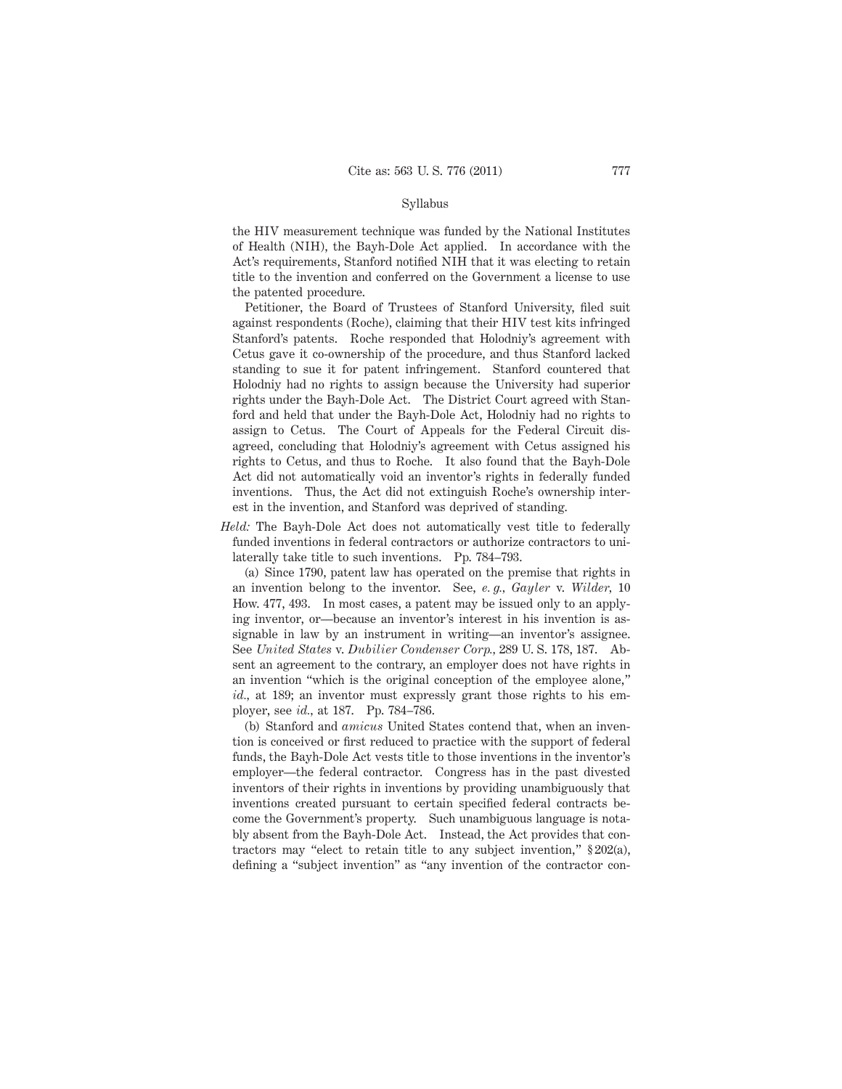#### Syllabus

the HIV measurement technique was funded by the National Institutes of Health (NIH), the Bayh-Dole Act applied. In accordance with the Act's requirements, Stanford notified NIH that it was electing to retain title to the invention and conferred on the Government a license to use the patented procedure.

Petitioner, the Board of Trustees of Stanford University, filed suit against respondents (Roche), claiming that their HIV test kits infringed Stanford's patents. Roche responded that Holodniy's agreement with Cetus gave it co-ownership of the procedure, and thus Stanford lacked standing to sue it for patent infringement. Stanford countered that Holodniy had no rights to assign because the University had superior rights under the Bayh-Dole Act. The District Court agreed with Stanford and held that under the Bayh-Dole Act, Holodniy had no rights to assign to Cetus. The Court of Appeals for the Federal Circuit disagreed, concluding that Holodniy's agreement with Cetus assigned his rights to Cetus, and thus to Roche. It also found that the Bayh-Dole Act did not automatically void an inventor's rights in federally funded inventions. Thus, the Act did not extinguish Roche's ownership interest in the invention, and Stanford was deprived of standing.

*Held:* The Bayh-Dole Act does not automatically vest title to federally funded inventions in federal contractors or authorize contractors to unilaterally take title to such inventions. Pp. 784–793.

(a) Since 1790, patent law has operated on the premise that rights in an invention belong to the inventor. See, *e. g., Gayler* v. *Wilder,* 10 How. 477, 493. In most cases, a patent may be issued only to an applying inventor, or—because an inventor's interest in his invention is assignable in law by an instrument in writing—an inventor's assignee. See *United States* v. *Dubilier Condenser Corp.,* 289 U. S. 178, 187. Absent an agreement to the contrary, an employer does not have rights in an invention "which is the original conception of the employee alone," *id.,* at 189; an inventor must expressly grant those rights to his employer, see *id.,* at 187. Pp. 784–786.

(b) Stanford and *amicus* United States contend that, when an invention is conceived or first reduced to practice with the support of federal funds, the Bayh-Dole Act vests title to those inventions in the inventor's employer—the federal contractor. Congress has in the past divested inventors of their rights in inventions by providing unambiguously that inventions created pursuant to certain specified federal contracts become the Government's property. Such unambiguous language is notably absent from the Bayh-Dole Act. Instead, the Act provides that contractors may "elect to retain title to any subject invention," § 202(a), defining a "subject invention" as "any invention of the contractor con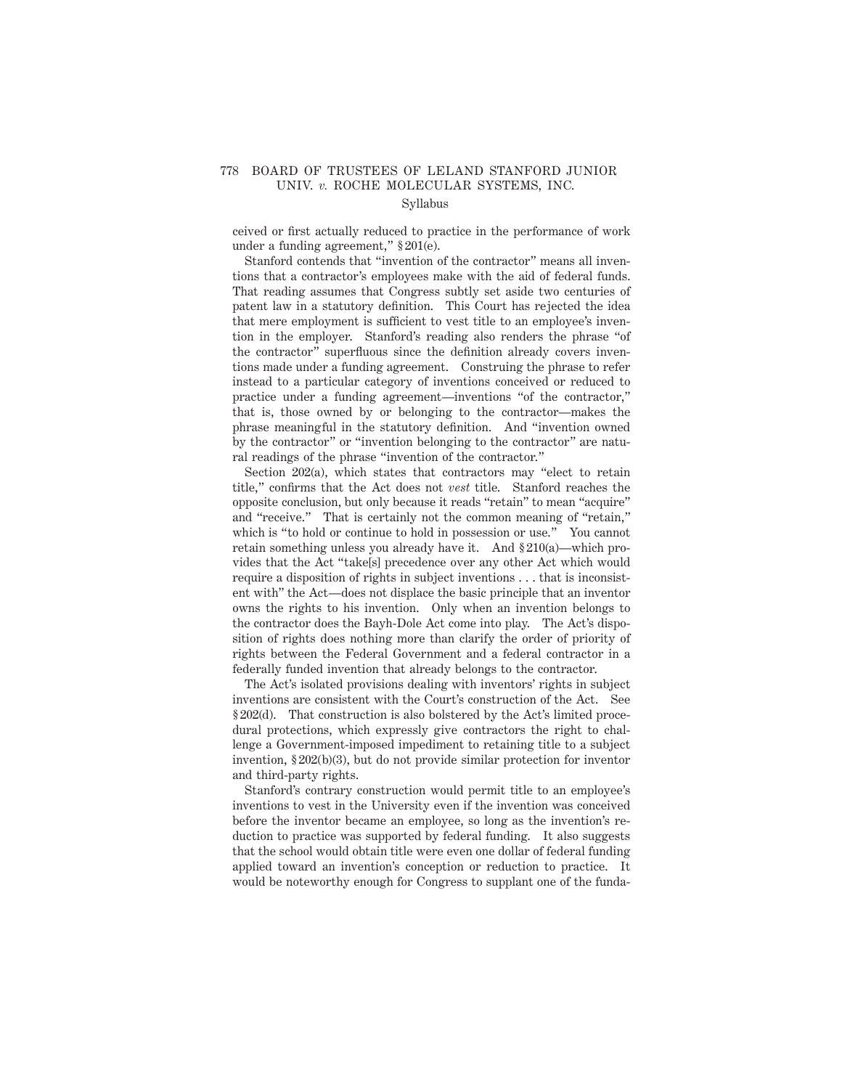## 778 BOARD OF TRUSTEES OF LELAND STANFORD JUNIOR UNIV. *v.* ROCHE MOLECULAR SYSTEMS, INC. Syllabus

ceived or first actually reduced to practice in the performance of work under a funding agreement," § 201(e).

Stanford contends that "invention of the contractor" means all inventions that a contractor's employees make with the aid of federal funds. That reading assumes that Congress subtly set aside two centuries of patent law in a statutory definition. This Court has rejected the idea that mere employment is sufficient to vest title to an employee's invention in the employer. Stanford's reading also renders the phrase "of the contractor" superfluous since the definition already covers inventions made under a funding agreement. Construing the phrase to refer instead to a particular category of inventions conceived or reduced to practice under a funding agreement—inventions "of the contractor," that is, those owned by or belonging to the contractor—makes the phrase meaningful in the statutory definition. And "invention owned by the contractor" or "invention belonging to the contractor" are natural readings of the phrase "invention of the contractor."

Section 202(a), which states that contractors may "elect to retain title," confirms that the Act does not *vest* title. Stanford reaches the opposite conclusion, but only because it reads "retain" to mean "acquire" and "receive." That is certainly not the common meaning of "retain," which is "to hold or continue to hold in possession or use." You cannot retain something unless you already have it. And § 210(a)—which provides that the Act "take[s] precedence over any other Act which would require a disposition of rights in subject inventions . . . that is inconsistent with" the Act—does not displace the basic principle that an inventor owns the rights to his invention. Only when an invention belongs to the contractor does the Bayh-Dole Act come into play. The Act's disposition of rights does nothing more than clarify the order of priority of rights between the Federal Government and a federal contractor in a federally funded invention that already belongs to the contractor.

The Act's isolated provisions dealing with inventors' rights in subject inventions are consistent with the Court's construction of the Act. See § 202(d). That construction is also bolstered by the Act's limited procedural protections, which expressly give contractors the right to challenge a Government-imposed impediment to retaining title to a subject invention, § 202(b)(3), but do not provide similar protection for inventor and third-party rights.

Stanford's contrary construction would permit title to an employee's inventions to vest in the University even if the invention was conceived before the inventor became an employee, so long as the invention's reduction to practice was supported by federal funding. It also suggests that the school would obtain title were even one dollar of federal funding applied toward an invention's conception or reduction to practice. It would be noteworthy enough for Congress to supplant one of the funda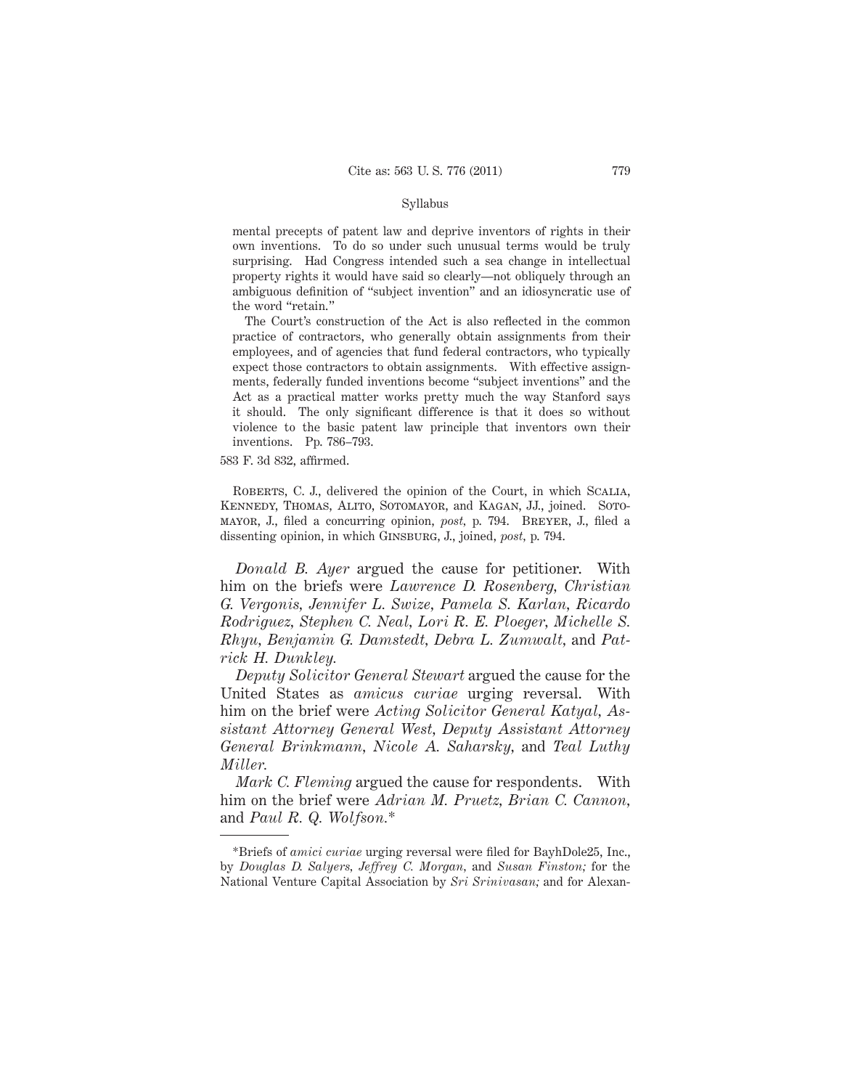#### Syllabus

mental precepts of patent law and deprive inventors of rights in their own inventions. To do so under such unusual terms would be truly surprising. Had Congress intended such a sea change in intellectual property rights it would have said so clearly—not obliquely through an ambiguous definition of "subject invention" and an idiosyncratic use of the word "retain."

The Court's construction of the Act is also reflected in the common practice of contractors, who generally obtain assignments from their employees, and of agencies that fund federal contractors, who typically expect those contractors to obtain assignments. With effective assignments, federally funded inventions become "subject inventions" and the Act as a practical matter works pretty much the way Stanford says it should. The only significant difference is that it does so without violence to the basic patent law principle that inventors own their inventions. Pp. 786–793.

583 F. 3d 832, affirmed.

ROBERTS, C. J., delivered the opinion of the Court, in which SCALIA, Kennedy, Thomas, Alito, Sotomayor, and Kagan, JJ., joined. Sotomayor, J., filed a concurring opinion, *post,* p. 794. Breyer, J., filed a dissenting opinion, in which Ginsburg, J., joined, *post,* p. 794.

*Donald B. Ayer* argued the cause for petitioner. With him on the briefs were *Lawrence D. Rosenberg, Christian G. Vergonis, Jennifer L. Swize, Pamela S. Karlan, Ricardo Rodriguez, Stephen C. Neal, Lori R. E. Ploeger, Michelle S. Rhyu, Benjamin G. Damstedt, Debra L. Zumwalt,* and *Patrick H. Dunkley.*

*Deputy Solicitor General Stewart* argued the cause for the United States as *amicus curiae* urging reversal. With him on the brief were *Acting Solicitor General Katyal, Assistant Attorney General West, Deputy Assistant Attorney General Brinkmann, Nicole A. Saharsky,* and *Teal Luthy Miller.*

*Mark C. Fleming* argued the cause for respondents. With him on the brief were *Adrian M. Pruetz, Brian C. Cannon,* and *Paul R. Q. Wolfson.*\*

<sup>\*</sup>Briefs of *amici curiae* urging reversal were filed for BayhDole25, Inc., by *Douglas D. Salyers, Jeffrey C. Morgan,* and *Susan Finston;* for the National Venture Capital Association by *Sri Srinivasan;* and for Alexan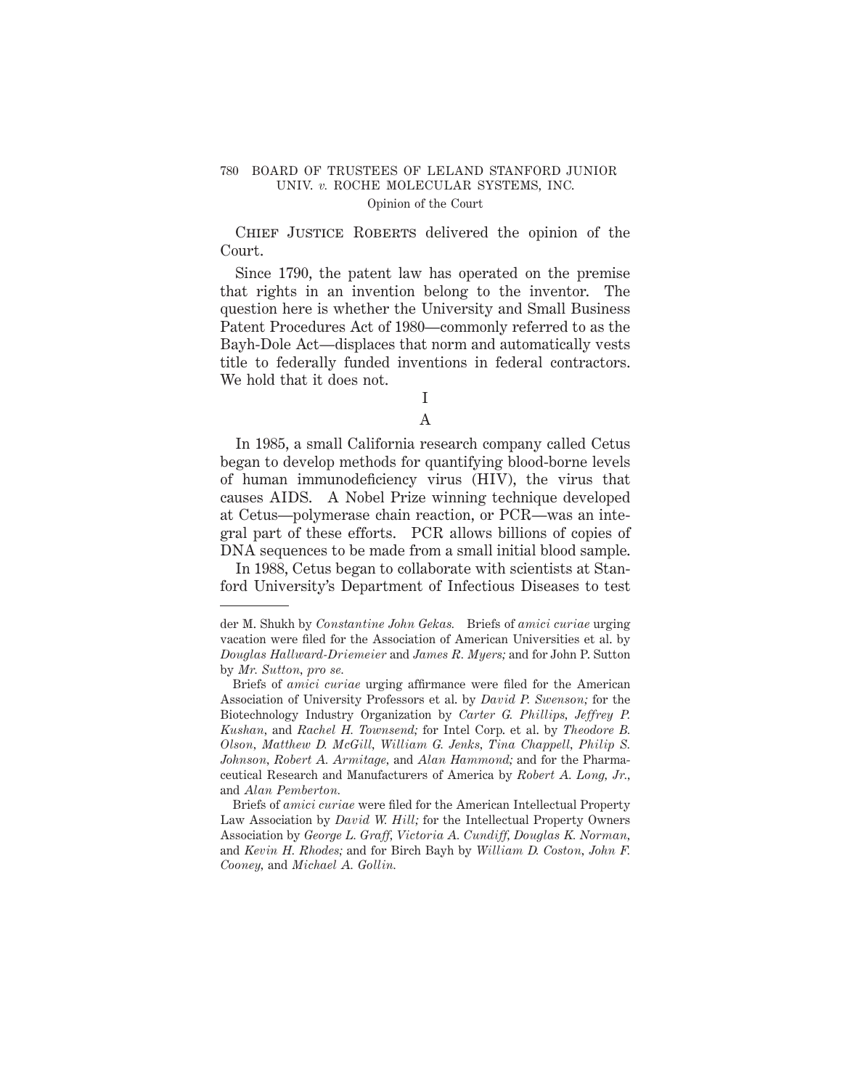CHIEF JUSTICE ROBERTS delivered the opinion of the Court.

Since 1790, the patent law has operated on the premise that rights in an invention belong to the inventor. The question here is whether the University and Small Business Patent Procedures Act of 1980—commonly referred to as the Bayh-Dole Act—displaces that norm and automatically vests title to federally funded inventions in federal contractors. We hold that it does not.

I

## A

In 1985, a small California research company called Cetus began to develop methods for quantifying blood-borne levels of human immunodeficiency virus (HIV), the virus that causes AIDS. A Nobel Prize winning technique developed at Cetus—polymerase chain reaction, or PCR—was an integral part of these efforts. PCR allows billions of copies of DNA sequences to be made from a small initial blood sample.

In 1988, Cetus began to collaborate with scientists at Stanford University's Department of Infectious Diseases to test

der M. Shukh by *Constantine John Gekas.* Briefs of *amici curiae* urging vacation were filed for the Association of American Universities et al. by *Douglas Hallward-Driemeier* and *James R. Myers;* and for John P. Sutton by *Mr. Sutton, pro se.*

Briefs of *amici curiae* urging affirmance were filed for the American Association of University Professors et al. by *David P. Swenson;* for the Biotechnology Industry Organization by *Carter G. Phillips, Jeffrey P. Kushan,* and *Rachel H. Townsend;* for Intel Corp. et al. by *Theodore B. Olson, Matthew D. McGill, William G. Jenks, Tina Chappell, Philip S. Johnson, Robert A. Armitage,* and *Alan Hammond;* and for the Pharmaceutical Research and Manufacturers of America by *Robert A. Long, Jr.,* and *Alan Pemberton.*

Briefs of *amici curiae* were filed for the American Intellectual Property Law Association by *David W. Hill;* for the Intellectual Property Owners Association by *George L. Graff, Victoria A. Cundiff, Douglas K. Norman,* and *Kevin H. Rhodes;* and for Birch Bayh by *William D. Coston, John F. Cooney,* and *Michael A. Gollin.*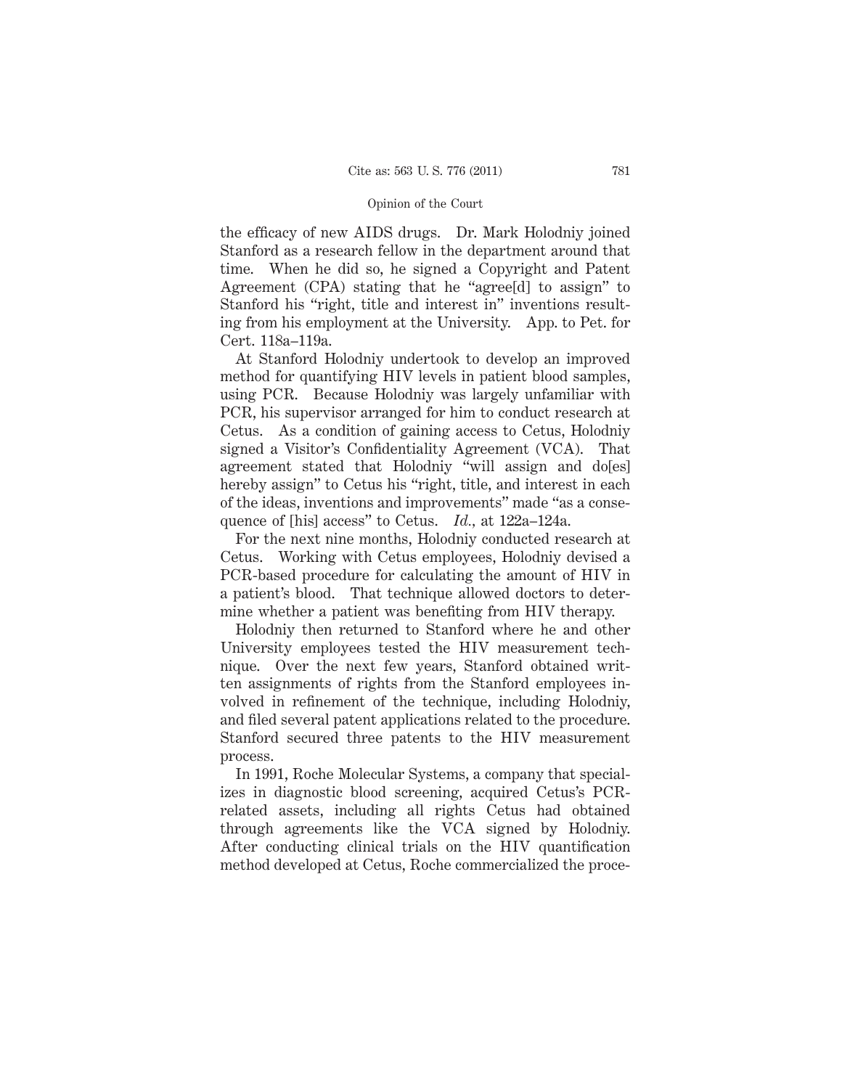the efficacy of new AIDS drugs. Dr. Mark Holodniy joined Stanford as a research fellow in the department around that time. When he did so, he signed a Copyright and Patent Agreement (CPA) stating that he "agree[d] to assign" to Stanford his "right, title and interest in" inventions resulting from his employment at the University. App. to Pet. for Cert. 118a–119a.

At Stanford Holodniy undertook to develop an improved method for quantifying HIV levels in patient blood samples, using PCR. Because Holodniy was largely unfamiliar with PCR, his supervisor arranged for him to conduct research at Cetus. As a condition of gaining access to Cetus, Holodniy signed a Visitor's Confidentiality Agreement (VCA). That agreement stated that Holodniy "will assign and do[es] hereby assign" to Cetus his "right, title, and interest in each of the ideas, inventions and improvements" made "as a consequence of [his] access" to Cetus. *Id.,* at 122a–124a.

For the next nine months, Holodniy conducted research at Cetus. Working with Cetus employees, Holodniy devised a PCR-based procedure for calculating the amount of HIV in a patient's blood. That technique allowed doctors to determine whether a patient was benefiting from HIV therapy.

Holodniy then returned to Stanford where he and other University employees tested the HIV measurement technique. Over the next few years, Stanford obtained written assignments of rights from the Stanford employees involved in refinement of the technique, including Holodniy, and filed several patent applications related to the procedure. Stanford secured three patents to the HIV measurement process.

In 1991, Roche Molecular Systems, a company that specializes in diagnostic blood screening, acquired Cetus's PCRrelated assets, including all rights Cetus had obtained through agreements like the VCA signed by Holodniy. After conducting clinical trials on the HIV quantification method developed at Cetus, Roche commercialized the proce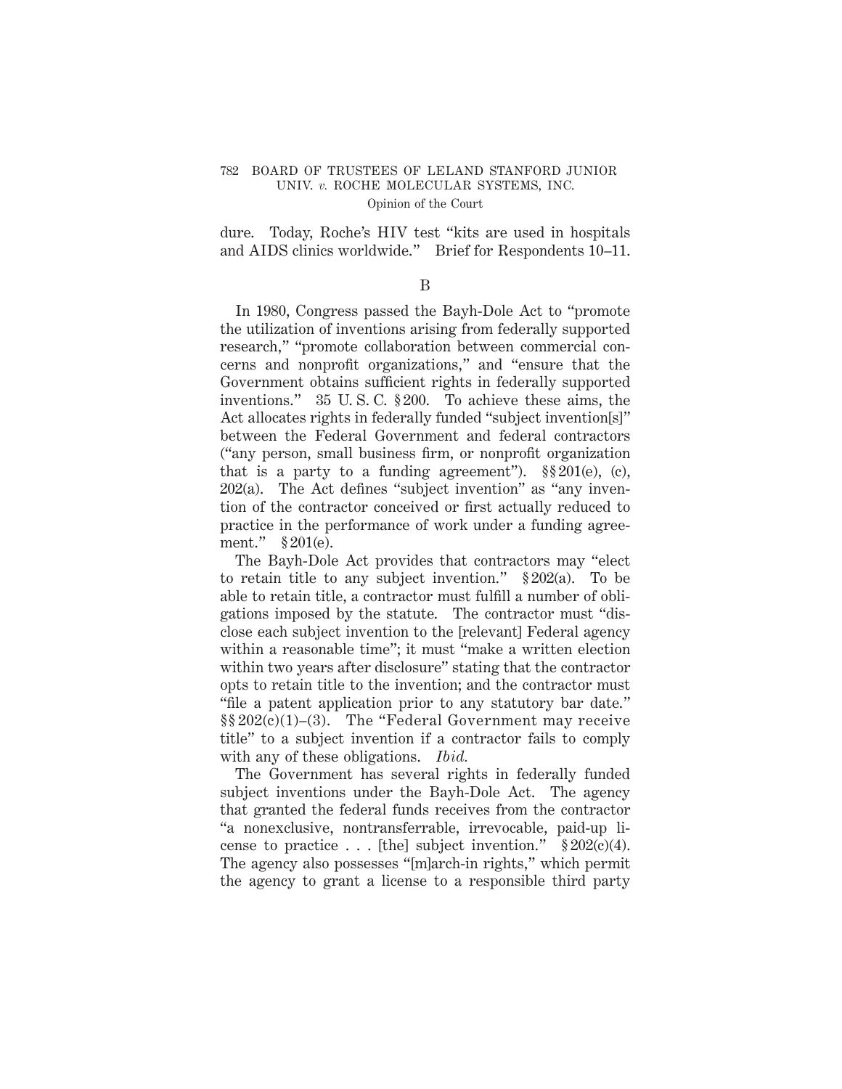# 782 BOARD OF TRUSTEES OF LELAND STANFORD JUNIOR UNIV. *v.* ROCHE MOLECULAR SYSTEMS, INC.

## Opinion of the Court

dure. Today, Roche's HIV test "kits are used in hospitals and AIDS clinics worldwide." Brief for Respondents 10–11.

## B

In 1980, Congress passed the Bayh-Dole Act to "promote the utilization of inventions arising from federally supported research," "promote collaboration between commercial concerns and nonprofit organizations," and "ensure that the Government obtains sufficient rights in federally supported inventions." 35 U. S. C. § 200. To achieve these aims, the Act allocates rights in federally funded "subject invention[s]" between the Federal Government and federal contractors ("any person, small business firm, or nonprofit organization that is a party to a funding agreement").  $\S 201(e)$ , (c), 202(a). The Act defines "subject invention" as "any invention of the contractor conceived or first actually reduced to practice in the performance of work under a funding agreement." § 201(e).

The Bayh-Dole Act provides that contractors may "elect to retain title to any subject invention."  $\S 202(a)$ . To be able to retain title, a contractor must fulfill a number of obligations imposed by the statute. The contractor must "disclose each subject invention to the [relevant] Federal agency within a reasonable time"; it must "make a written election within two years after disclosure" stating that the contractor opts to retain title to the invention; and the contractor must "file a patent application prior to any statutory bar date." §§ 202(c)(1)–(3). The "Federal Government may receive title" to a subject invention if a contractor fails to comply with any of these obligations. *Ibid.*

The Government has several rights in federally funded subject inventions under the Bayh-Dole Act. The agency that granted the federal funds receives from the contractor "a nonexclusive, nontransferrable, irrevocable, paid-up license to practice  $\ldots$  [the] subject invention." § 202(c)(4). The agency also possesses "[m]arch-in rights," which permit the agency to grant a license to a responsible third party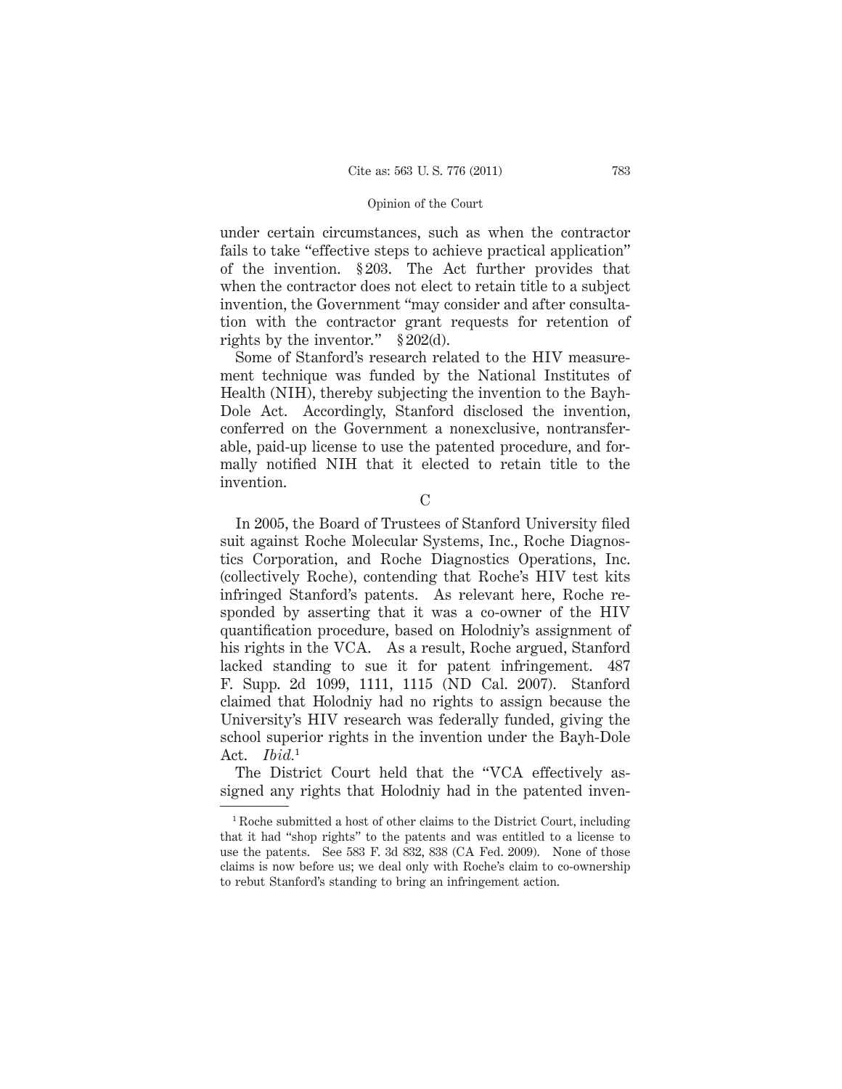under certain circumstances, such as when the contractor fails to take "effective steps to achieve practical application" of the invention. § 203. The Act further provides that when the contractor does not elect to retain title to a subject invention, the Government "may consider and after consultation with the contractor grant requests for retention of rights by the inventor."  $§ 202(d)$ .

Some of Stanford's research related to the HIV measurement technique was funded by the National Institutes of Health (NIH), thereby subjecting the invention to the Bayh-Dole Act. Accordingly, Stanford disclosed the invention, conferred on the Government a nonexclusive, nontransferable, paid-up license to use the patented procedure, and formally notified NIH that it elected to retain title to the invention.

 $\overline{C}$ 

In 2005, the Board of Trustees of Stanford University filed suit against Roche Molecular Systems, Inc., Roche Diagnostics Corporation, and Roche Diagnostics Operations, Inc. (collectively Roche), contending that Roche's HIV test kits infringed Stanford's patents. As relevant here, Roche responded by asserting that it was a co-owner of the HIV quantification procedure, based on Holodniy's assignment of his rights in the VCA. As a result, Roche argued, Stanford lacked standing to sue it for patent infringement. 487 F. Supp. 2d 1099, 1111, 1115 (ND Cal. 2007). Stanford claimed that Holodniy had no rights to assign because the University's HIV research was federally funded, giving the school superior rights in the invention under the Bayh-Dole Act. *Ibid.*<sup>1</sup>

The District Court held that the "VCA effectively assigned any rights that Holodniy had in the patented inven-

<sup>1</sup> Roche submitted a host of other claims to the District Court, including that it had "shop rights" to the patents and was entitled to a license to use the patents. See 583 F. 3d 832, 838 (CA Fed. 2009). None of those claims is now before us; we deal only with Roche's claim to co-ownership to rebut Stanford's standing to bring an infringement action.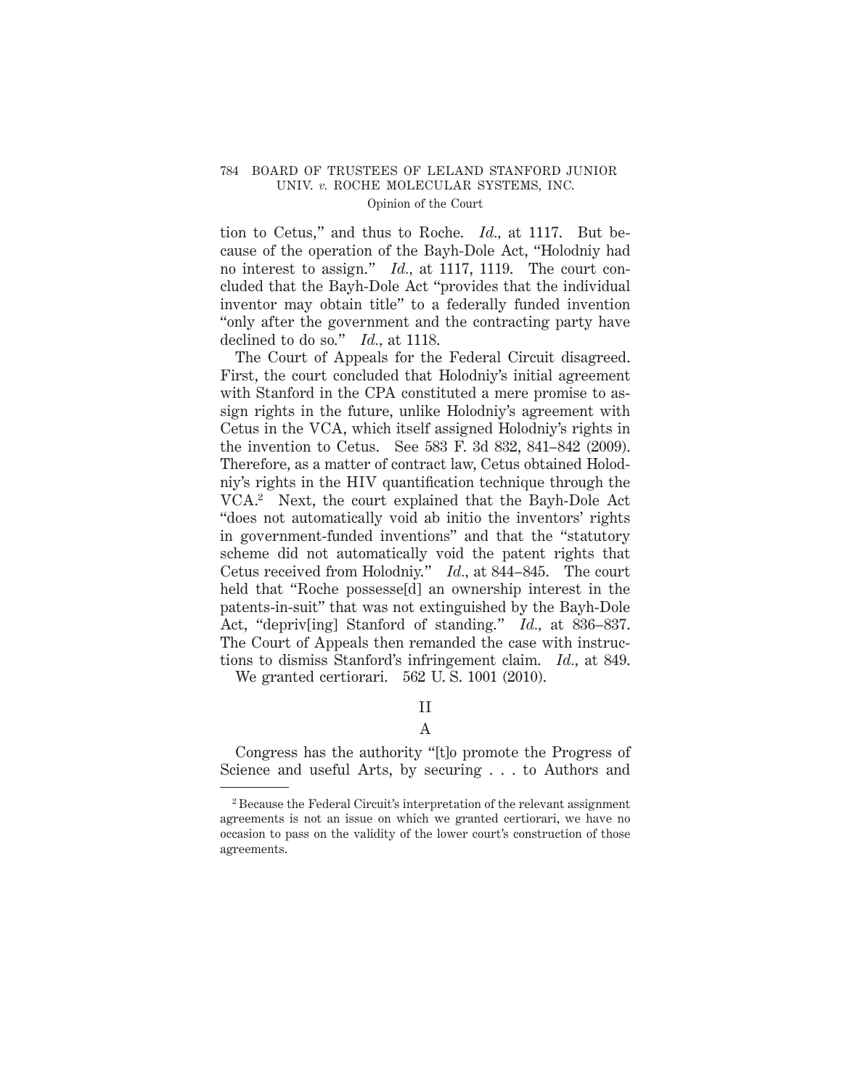tion to Cetus," and thus to Roche. *Id.,* at 1117. But because of the operation of the Bayh-Dole Act, "Holodniy had no interest to assign." *Id.,* at 1117, 1119. The court concluded that the Bayh-Dole Act "provides that the individual inventor may obtain title" to a federally funded invention "only after the government and the contracting party have declined to do so." *Id.,* at 1118.

The Court of Appeals for the Federal Circuit disagreed. First, the court concluded that Holodniy's initial agreement with Stanford in the CPA constituted a mere promise to assign rights in the future, unlike Holodniy's agreement with Cetus in the VCA, which itself assigned Holodniy's rights in the invention to Cetus. See 583 F. 3d 832, 841–842 (2009). Therefore, as a matter of contract law, Cetus obtained Holodniy's rights in the HIV quantification technique through the VCA.2 Next, the court explained that the Bayh-Dole Act "does not automatically void ab initio the inventors' rights in government-funded inventions" and that the "statutory scheme did not automatically void the patent rights that Cetus received from Holodniy." *Id.,* at 844–845. The court held that "Roche possesse[d] an ownership interest in the patents-in-suit" that was not extinguished by the Bayh-Dole Act, "depriv[ing] Stanford of standing." *Id.,* at 836–837. The Court of Appeals then remanded the case with instructions to dismiss Stanford's infringement claim. *Id.,* at 849. We granted certiorari. 562 U. S. 1001 (2010).

II

## A

Congress has the authority "[t]o promote the Progress of Science and useful Arts, by securing . . . to Authors and

<sup>2</sup> Because the Federal Circuit's interpretation of the relevant assignment agreements is not an issue on which we granted certiorari, we have no occasion to pass on the validity of the lower court's construction of those agreements.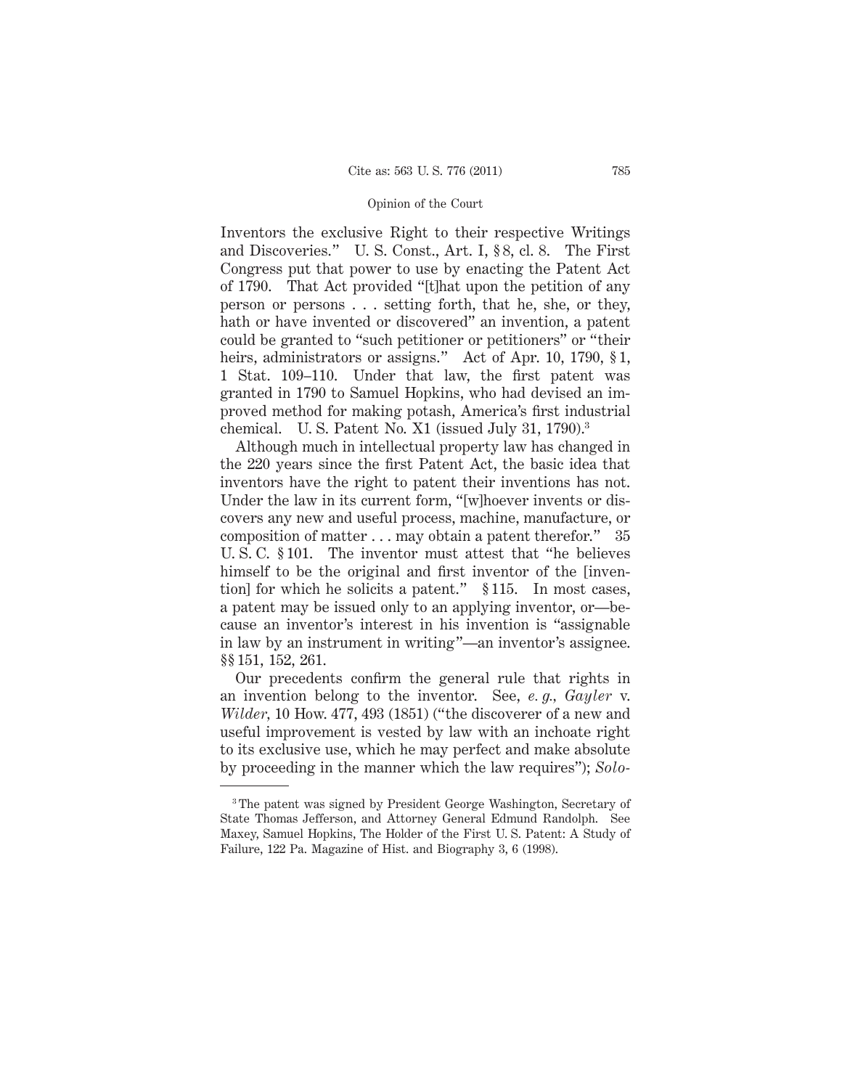Inventors the exclusive Right to their respective Writings and Discoveries." U. S. Const., Art. I, § 8, cl. 8. The First Congress put that power to use by enacting the Patent Act of 1790. That Act provided "[t]hat upon the petition of any person or persons . . . setting forth, that he, she, or they, hath or have invented or discovered" an invention, a patent could be granted to "such petitioner or petitioners" or "their heirs, administrators or assigns." Act of Apr. 10, 1790, §1, 1 Stat. 109–110. Under that law, the first patent was granted in 1790 to Samuel Hopkins, who had devised an improved method for making potash, America's first industrial chemical. U.S. Patent No. X1 (issued July 31, 1790).<sup>3</sup>

Although much in intellectual property law has changed in the 220 years since the first Patent Act, the basic idea that inventors have the right to patent their inventions has not. Under the law in its current form, "[w]hoever invents or discovers any new and useful process, machine, manufacture, or composition of matter . . . may obtain a patent therefor." 35 U. S. C. § 101. The inventor must attest that "he believes himself to be the original and first inventor of the [invention] for which he solicits a patent." § 115. In most cases, a patent may be issued only to an applying inventor, or—because an inventor's interest in his invention is "assignable in law by an instrument in writing"—an inventor's assignee. §§ 151, 152, 261.

Our precedents confirm the general rule that rights in an invention belong to the inventor. See, *e. g., Gayler* v. *Wilder,* 10 How. 477, 493 (1851) ("the discoverer of a new and useful improvement is vested by law with an inchoate right to its exclusive use, which he may perfect and make absolute by proceeding in the manner which the law requires"); *Solo-*

<sup>3</sup> The patent was signed by President George Washington, Secretary of State Thomas Jefferson, and Attorney General Edmund Randolph. See Maxey, Samuel Hopkins, The Holder of the First U. S. Patent: A Study of Failure, 122 Pa. Magazine of Hist. and Biography 3, 6 (1998).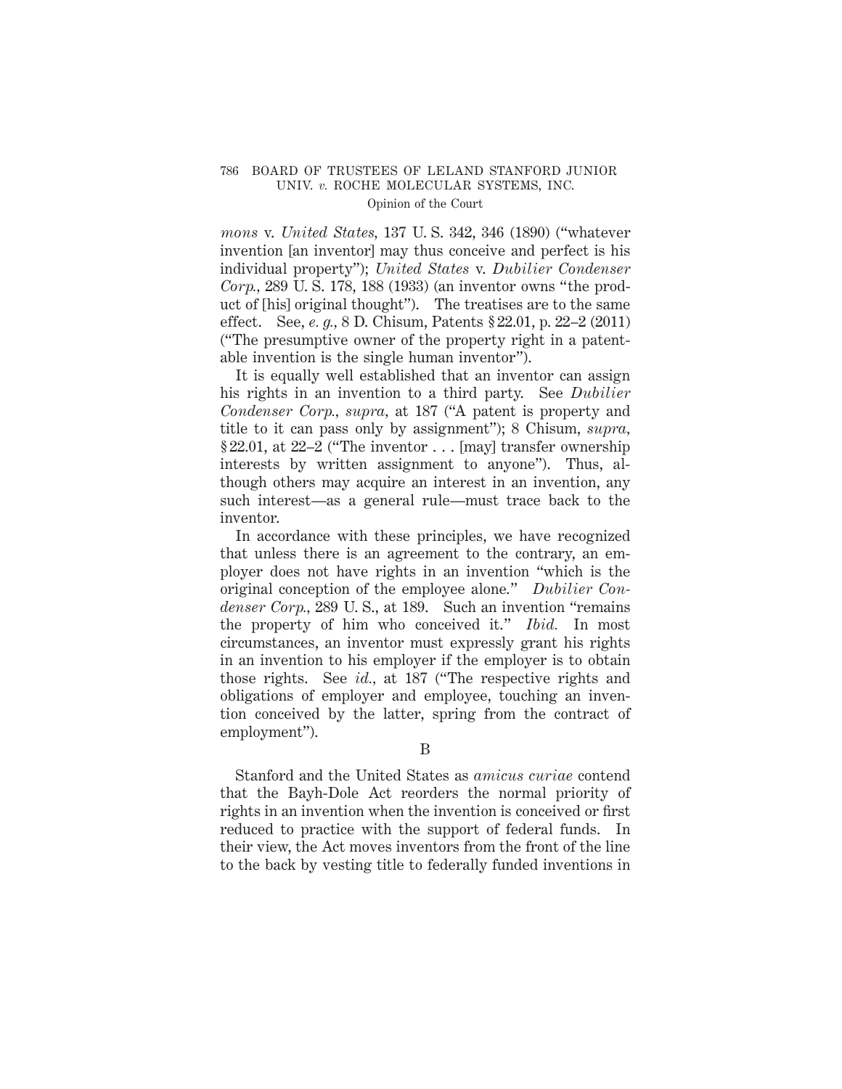*mons* v. *United States,* 137 U. S. 342, 346 (1890) ("whatever invention [an inventor] may thus conceive and perfect is his individual property"); *United States* v. *Dubilier Condenser Corp.,* 289 U. S. 178, 188 (1933) (an inventor owns "the product of [his] original thought"). The treatises are to the same effect. See, *e. g.,* 8 D. Chisum, Patents § 22.01, p. 22–2 (2011) ("The presumptive owner of the property right in a patentable invention is the single human inventor").

It is equally well established that an inventor can assign his rights in an invention to a third party. See *Dubilier Condenser Corp., supra,* at 187 ("A patent is property and title to it can pass only by assignment"); 8 Chisum, *supra,* § 22.01, at 22–2 ("The inventor . . . [may] transfer ownership interests by written assignment to anyone"). Thus, although others may acquire an interest in an invention, any such interest—as a general rule—must trace back to the inventor.

In accordance with these principles, we have recognized that unless there is an agreement to the contrary, an employer does not have rights in an invention "which is the original conception of the employee alone." *Dubilier Condenser Corp.,* 289 U. S., at 189. Such an invention "remains the property of him who conceived it." *Ibid.* In most circumstances, an inventor must expressly grant his rights in an invention to his employer if the employer is to obtain those rights. See *id.,* at 187 ("The respective rights and obligations of employer and employee, touching an invention conceived by the latter, spring from the contract of employment").

## B

Stanford and the United States as *amicus curiae* contend that the Bayh-Dole Act reorders the normal priority of rights in an invention when the invention is conceived or first reduced to practice with the support of federal funds. In their view, the Act moves inventors from the front of the line to the back by vesting title to federally funded inventions in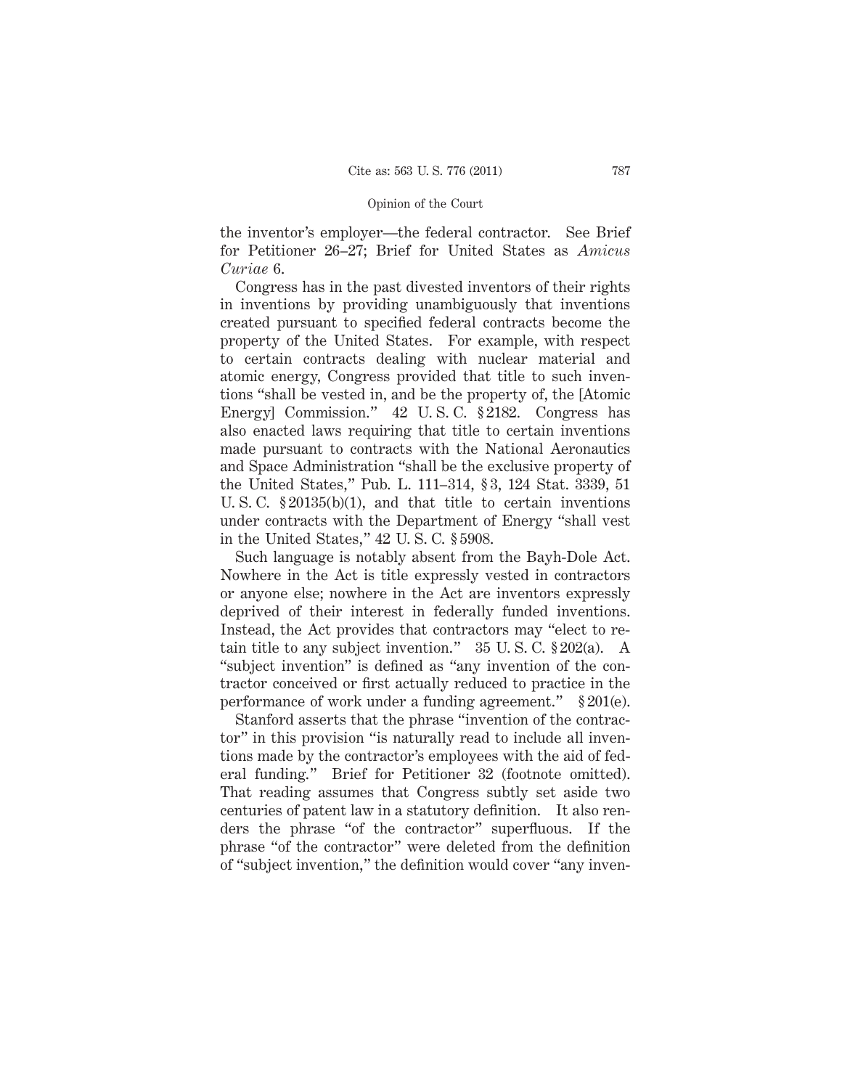the inventor's employer—the federal contractor. See Brief for Petitioner 26–27; Brief for United States as *Amicus Curiae* 6.

Congress has in the past divested inventors of their rights in inventions by providing unambiguously that inventions created pursuant to specified federal contracts become the property of the United States. For example, with respect to certain contracts dealing with nuclear material and atomic energy, Congress provided that title to such inventions "shall be vested in, and be the property of, the [Atomic Energy] Commission." 42 U. S. C. § 2182. Congress has also enacted laws requiring that title to certain inventions made pursuant to contracts with the National Aeronautics and Space Administration "shall be the exclusive property of the United States," Pub. L. 111–314, § 3, 124 Stat. 3339, 51 U. S. C. § 20135(b)(1), and that title to certain inventions under contracts with the Department of Energy "shall vest in the United States," 42 U. S. C. § 5908.

Such language is notably absent from the Bayh-Dole Act. Nowhere in the Act is title expressly vested in contractors or anyone else; nowhere in the Act are inventors expressly deprived of their interest in federally funded inventions. Instead, the Act provides that contractors may "elect to retain title to any subject invention."  $35 \text{ U.S. C. }$  \$202(a). A "subject invention" is defined as "any invention of the contractor conceived or first actually reduced to practice in the performance of work under a funding agreement." § 201(e).

Stanford asserts that the phrase "invention of the contractor" in this provision "is naturally read to include all inventions made by the contractor's employees with the aid of federal funding." Brief for Petitioner 32 (footnote omitted). That reading assumes that Congress subtly set aside two centuries of patent law in a statutory definition. It also renders the phrase "of the contractor" superfluous. If the phrase "of the contractor" were deleted from the definition of "subject invention," the definition would cover "any inven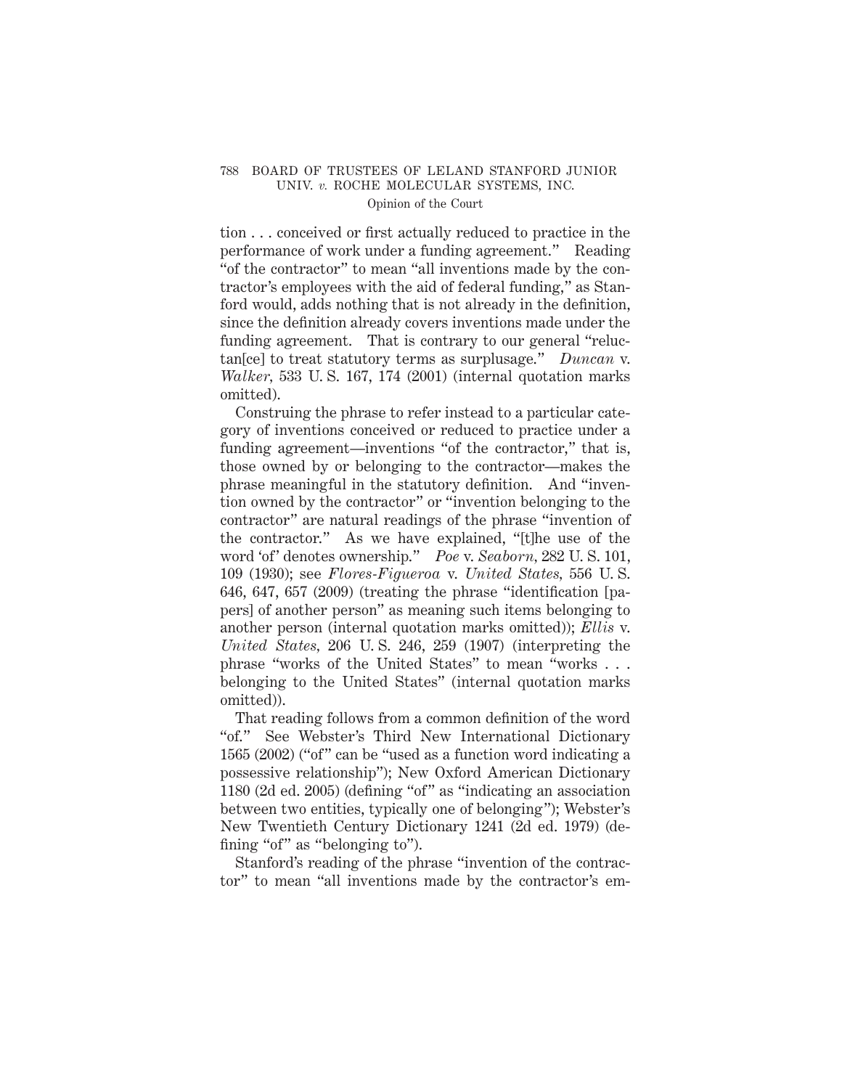tion . . . conceived or first actually reduced to practice in the performance of work under a funding agreement." Reading "of the contractor" to mean "all inventions made by the contractor's employees with the aid of federal funding," as Stanford would, adds nothing that is not already in the definition, since the definition already covers inventions made under the funding agreement. That is contrary to our general "reluctan[ce] to treat statutory terms as surplusage." *Duncan* v. *Walker,* 533 U. S. 167, 174 (2001) (internal quotation marks omitted).

Construing the phrase to refer instead to a particular category of inventions conceived or reduced to practice under a funding agreement—inventions "of the contractor," that is, those owned by or belonging to the contractor—makes the phrase meaningful in the statutory definition. And "invention owned by the contractor" or "invention belonging to the contractor" are natural readings of the phrase "invention of the contractor." As we have explained, "[t]he use of the word 'of' denotes ownership." *Poe* v. *Seaborn,* 282 U. S. 101, 109 (1930); see *Flores-Figueroa* v. *United States,* 556 U. S. 646, 647, 657 (2009) (treating the phrase "identification [papers] of another person" as meaning such items belonging to another person (internal quotation marks omitted)); *Ellis* v. *United States,* 206 U. S. 246, 259 (1907) (interpreting the phrase "works of the United States" to mean "works . . . belonging to the United States" (internal quotation marks omitted)).

That reading follows from a common definition of the word "of." See Webster's Third New International Dictionary 1565 (2002) ("of" can be "used as a function word indicating a possessive relationship"); New Oxford American Dictionary 1180 (2d ed. 2005) (defining "of" as "indicating an association between two entities, typically one of belonging"); Webster's New Twentieth Century Dictionary 1241 (2d ed. 1979) (defining "of" as "belonging to").

Stanford's reading of the phrase "invention of the contractor" to mean "all inventions made by the contractor's em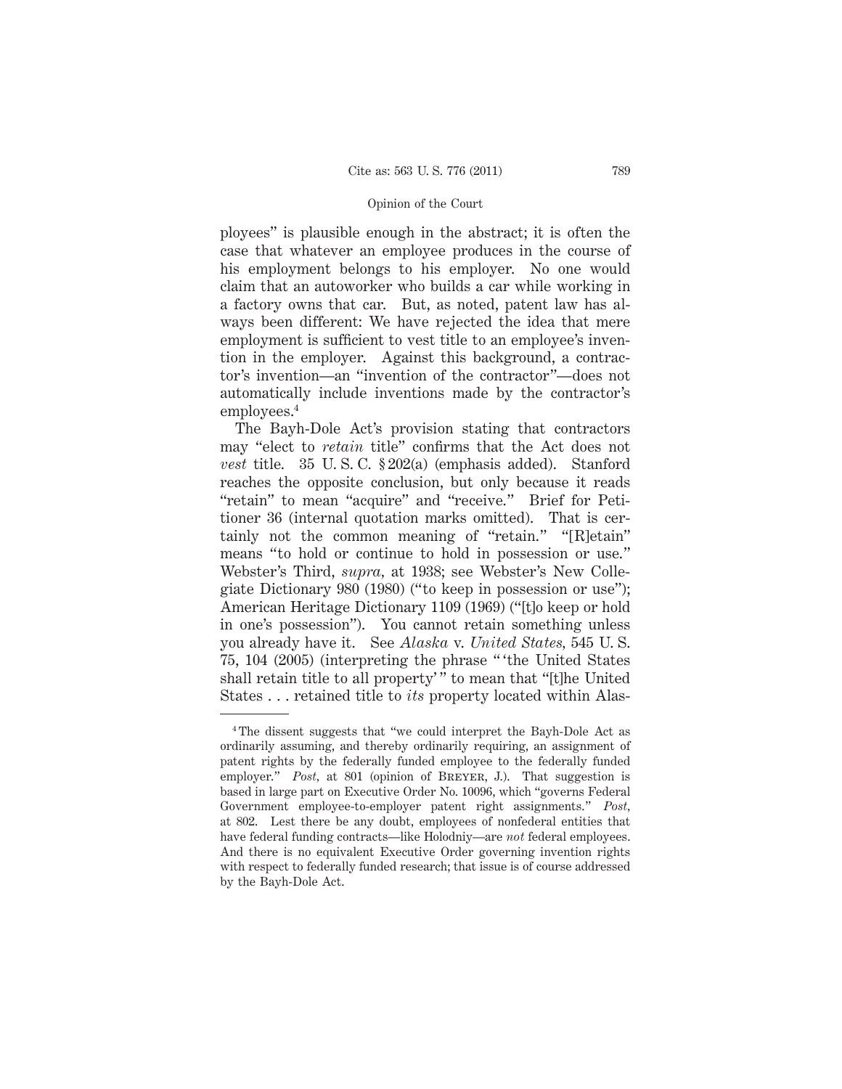ployees" is plausible enough in the abstract; it is often the case that whatever an employee produces in the course of his employment belongs to his employer. No one would claim that an autoworker who builds a car while working in a factory owns that car. But, as noted, patent law has always been different: We have rejected the idea that mere employment is sufficient to vest title to an employee's invention in the employer. Against this background, a contractor's invention—an "invention of the contractor"—does not automatically include inventions made by the contractor's employees.<sup>4</sup>

The Bayh-Dole Act's provision stating that contractors may "elect to *retain* title" confirms that the Act does not *vest* title. 35 U. S. C. § 202(a) (emphasis added). Stanford reaches the opposite conclusion, but only because it reads "retain" to mean "acquire" and "receive." Brief for Petitioner 36 (internal quotation marks omitted). That is certainly not the common meaning of "retain." "[R]etain" means "to hold or continue to hold in possession or use." Webster's Third, *supra,* at 1938; see Webster's New Collegiate Dictionary 980 (1980) ("to keep in possession or use"); American Heritage Dictionary 1109 (1969) ("[t]o keep or hold in one's possession"). You cannot retain something unless you already have it. See *Alaska* v. *United States,* 545 U. S. 75, 104 (2005) (interpreting the phrase " 'the United States shall retain title to all property'" to mean that "[t]he United States . . . retained title to *its* property located within Alas-

<sup>4</sup> The dissent suggests that "we could interpret the Bayh-Dole Act as ordinarily assuming, and thereby ordinarily requiring, an assignment of patent rights by the federally funded employee to the federally funded employer." *Post*, at 801 (opinion of BREYER, J.). That suggestion is based in large part on Executive Order No. 10096, which "governs Federal Government employee-to-employer patent right assignments." *Post,* at 802. Lest there be any doubt, employees of nonfederal entities that have federal funding contracts—like Holodniy—are *not* federal employees. And there is no equivalent Executive Order governing invention rights with respect to federally funded research; that issue is of course addressed by the Bayh-Dole Act.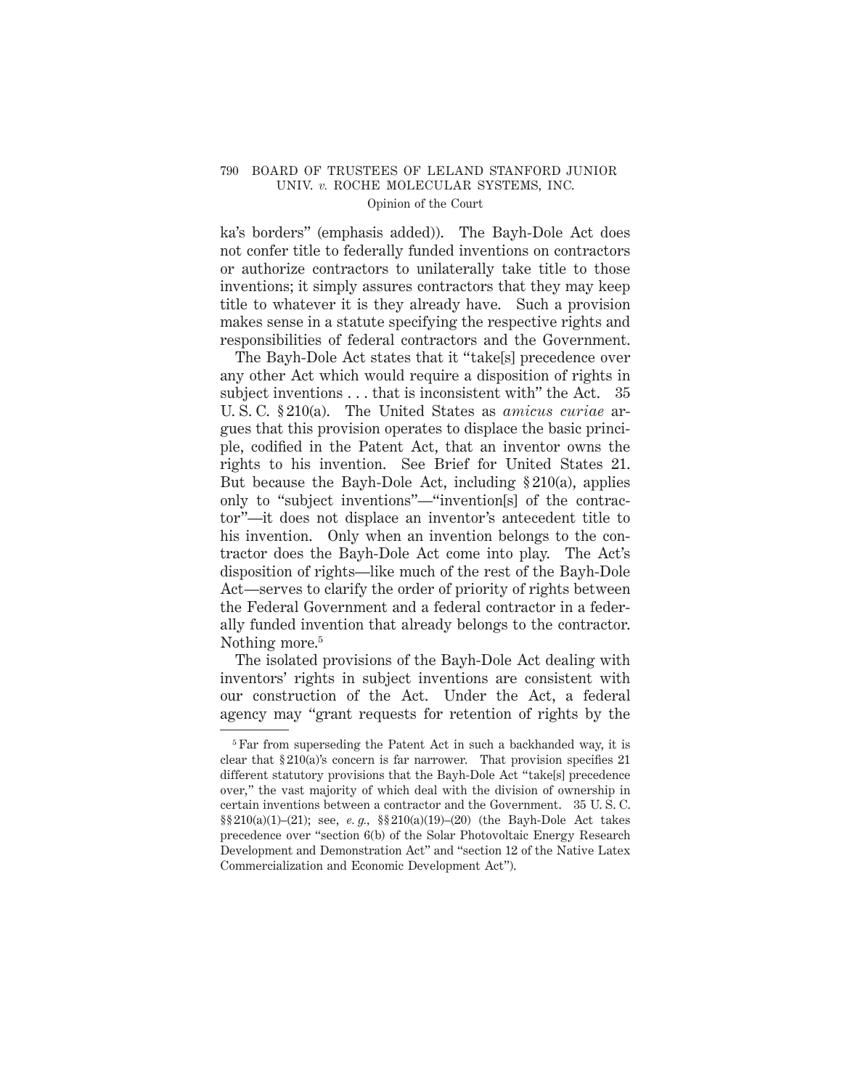ka's borders" (emphasis added)). The Bayh-Dole Act does not confer title to federally funded inventions on contractors or authorize contractors to unilaterally take title to those inventions; it simply assures contractors that they may keep title to whatever it is they already have. Such a provision makes sense in a statute specifying the respective rights and responsibilities of federal contractors and the Government.

The Bayh-Dole Act states that it "take[s] precedence over any other Act which would require a disposition of rights in subject inventions . . . that is inconsistent with" the Act. 35 U. S. C. § 210(a). The United States as *amicus curiae* argues that this provision operates to displace the basic principle, codified in the Patent Act, that an inventor owns the rights to his invention. See Brief for United States 21. But because the Bayh-Dole Act, including § 210(a), applies only to "subject inventions"—"invention[s] of the contractor"—it does not displace an inventor's antecedent title to his invention. Only when an invention belongs to the contractor does the Bayh-Dole Act come into play. The Act's disposition of rights—like much of the rest of the Bayh-Dole Act—serves to clarify the order of priority of rights between the Federal Government and a federal contractor in a federally funded invention that already belongs to the contractor. Nothing more.<sup>5</sup>

The isolated provisions of the Bayh-Dole Act dealing with inventors' rights in subject inventions are consistent with our construction of the Act. Under the Act, a federal agency may "grant requests for retention of rights by the

<sup>&</sup>lt;sup>5</sup> Far from superseding the Patent Act in such a backhanded way, it is clear that  $§210(a)$ 's concern is far narrower. That provision specifies 21 different statutory provisions that the Bayh-Dole Act "take[s] precedence over," the vast majority of which deal with the division of ownership in certain inventions between a contractor and the Government. 35 U. S. C. §§ 210(a)(1)–(21); see, *e. g.,* §§ 210(a)(19)–(20) (the Bayh-Dole Act takes precedence over "section 6(b) of the Solar Photovoltaic Energy Research Development and Demonstration Act" and "section 12 of the Native Latex Commercialization and Economic Development Act").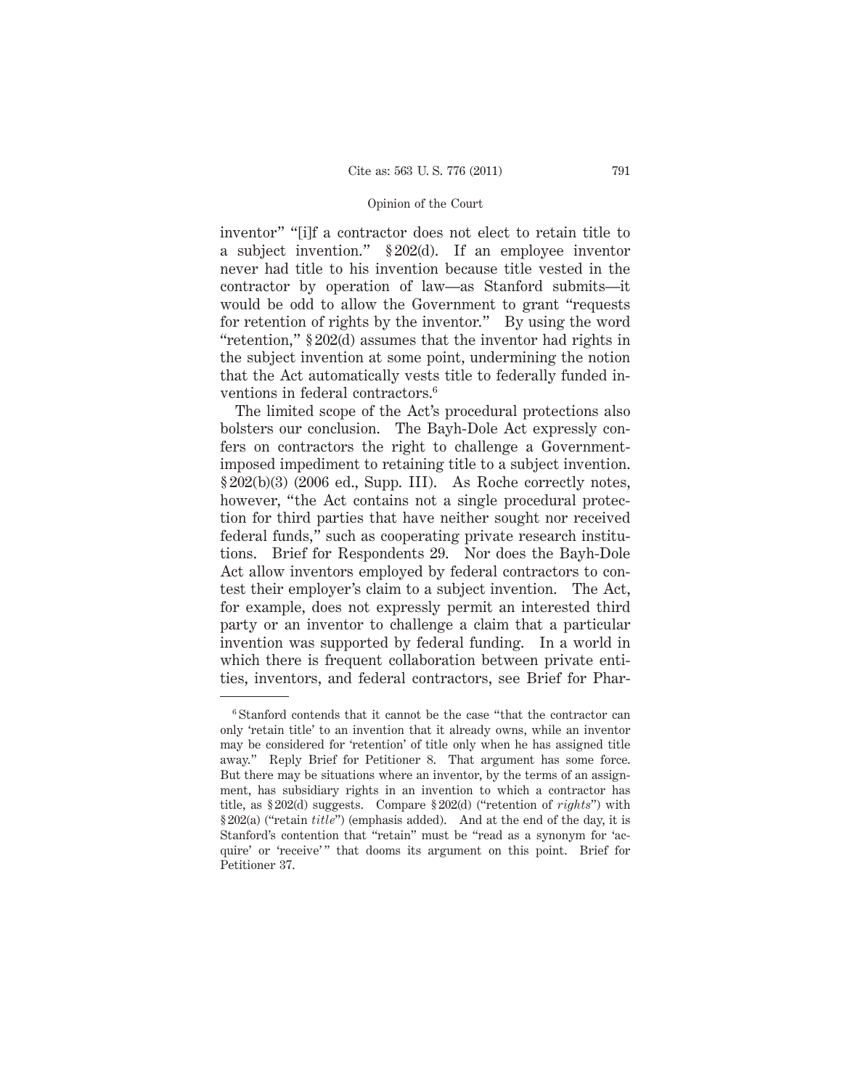inventor" "[i]f a contractor does not elect to retain title to a subject invention." § 202(d). If an employee inventor never had title to his invention because title vested in the contractor by operation of law—as Stanford submits—it would be odd to allow the Government to grant "requests for retention of rights by the inventor." By using the word "retention," § 202(d) assumes that the inventor had rights in the subject invention at some point, undermining the notion that the Act automatically vests title to federally funded inventions in federal contractors.<sup>6</sup>

The limited scope of the Act's procedural protections also bolsters our conclusion. The Bayh-Dole Act expressly confers on contractors the right to challenge a Governmentimposed impediment to retaining title to a subject invention. § 202(b)(3) (2006 ed., Supp. III). As Roche correctly notes, however, "the Act contains not a single procedural protection for third parties that have neither sought nor received federal funds," such as cooperating private research institutions. Brief for Respondents 29. Nor does the Bayh-Dole Act allow inventors employed by federal contractors to contest their employer's claim to a subject invention. The Act, for example, does not expressly permit an interested third party or an inventor to challenge a claim that a particular invention was supported by federal funding. In a world in which there is frequent collaboration between private entities, inventors, and federal contractors, see Brief for Phar-

<sup>6</sup> Stanford contends that it cannot be the case "that the contractor can only 'retain title' to an invention that it already owns, while an inventor may be considered for 'retention' of title only when he has assigned title away." Reply Brief for Petitioner 8. That argument has some force. But there may be situations where an inventor, by the terms of an assignment, has subsidiary rights in an invention to which a contractor has title, as § 202(d) suggests. Compare § 202(d) ("retention of *rights*") with § 202(a) ("retain *title*") (emphasis added). And at the end of the day, it is Stanford's contention that "retain" must be "read as a synonym for 'acquire' or 'receive'" that dooms its argument on this point. Brief for Petitioner 37.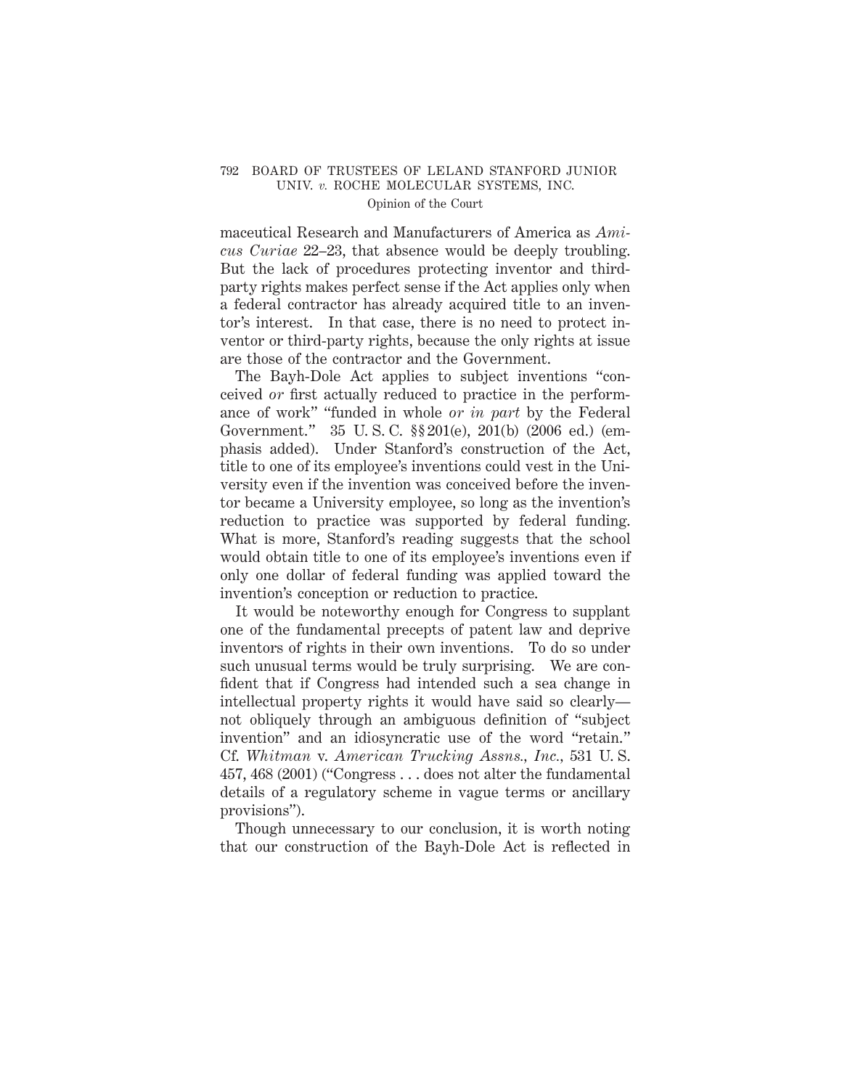maceutical Research and Manufacturers of America as *Amicus Curiae* 22–23, that absence would be deeply troubling. But the lack of procedures protecting inventor and thirdparty rights makes perfect sense if the Act applies only when a federal contractor has already acquired title to an inventor's interest. In that case, there is no need to protect inventor or third-party rights, because the only rights at issue are those of the contractor and the Government.

The Bayh-Dole Act applies to subject inventions "conceived *or* first actually reduced to practice in the performance of work" "funded in whole *or in part* by the Federal Government." 35 U. S. C. §§ 201(e), 201(b) (2006 ed.) (emphasis added). Under Stanford's construction of the Act, title to one of its employee's inventions could vest in the University even if the invention was conceived before the inventor became a University employee, so long as the invention's reduction to practice was supported by federal funding. What is more, Stanford's reading suggests that the school would obtain title to one of its employee's inventions even if only one dollar of federal funding was applied toward the invention's conception or reduction to practice.

It would be noteworthy enough for Congress to supplant one of the fundamental precepts of patent law and deprive inventors of rights in their own inventions. To do so under such unusual terms would be truly surprising. We are confident that if Congress had intended such a sea change in intellectual property rights it would have said so clearly not obliquely through an ambiguous definition of "subject invention" and an idiosyncratic use of the word "retain." Cf. *Whitman* v. *American Trucking Assns., Inc.,* 531 U. S. 457, 468 (2001) ("Congress . . . does not alter the fundamental details of a regulatory scheme in vague terms or ancillary provisions").

Though unnecessary to our conclusion, it is worth noting that our construction of the Bayh-Dole Act is reflected in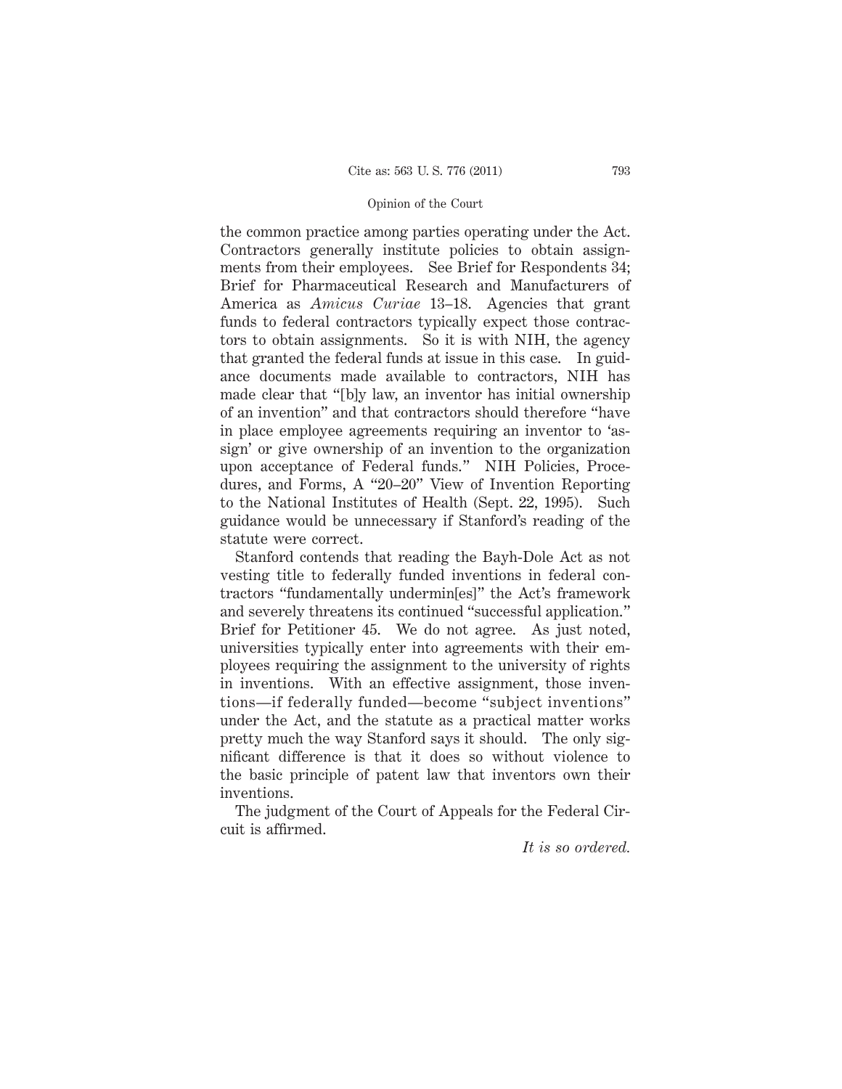the common practice among parties operating under the Act. Contractors generally institute policies to obtain assignments from their employees. See Brief for Respondents 34; Brief for Pharmaceutical Research and Manufacturers of America as *Amicus Curiae* 13–18. Agencies that grant funds to federal contractors typically expect those contractors to obtain assignments. So it is with NIH, the agency that granted the federal funds at issue in this case. In guidance documents made available to contractors, NIH has made clear that "[b]y law, an inventor has initial ownership of an invention" and that contractors should therefore "have in place employee agreements requiring an inventor to 'assign' or give ownership of an invention to the organization upon acceptance of Federal funds." NIH Policies, Procedures, and Forms, A "20–20" View of Invention Reporting to the National Institutes of Health (Sept. 22, 1995). Such guidance would be unnecessary if Stanford's reading of the statute were correct.

Stanford contends that reading the Bayh-Dole Act as not vesting title to federally funded inventions in federal contractors "fundamentally undermin[es]" the Act's framework and severely threatens its continued "successful application." Brief for Petitioner 45. We do not agree. As just noted, universities typically enter into agreements with their employees requiring the assignment to the university of rights in inventions. With an effective assignment, those inventions—if federally funded—become "subject inventions" under the Act, and the statute as a practical matter works pretty much the way Stanford says it should. The only significant difference is that it does so without violence to the basic principle of patent law that inventors own their inventions.

The judgment of the Court of Appeals for the Federal Circuit is affirmed.

*It is so ordered.*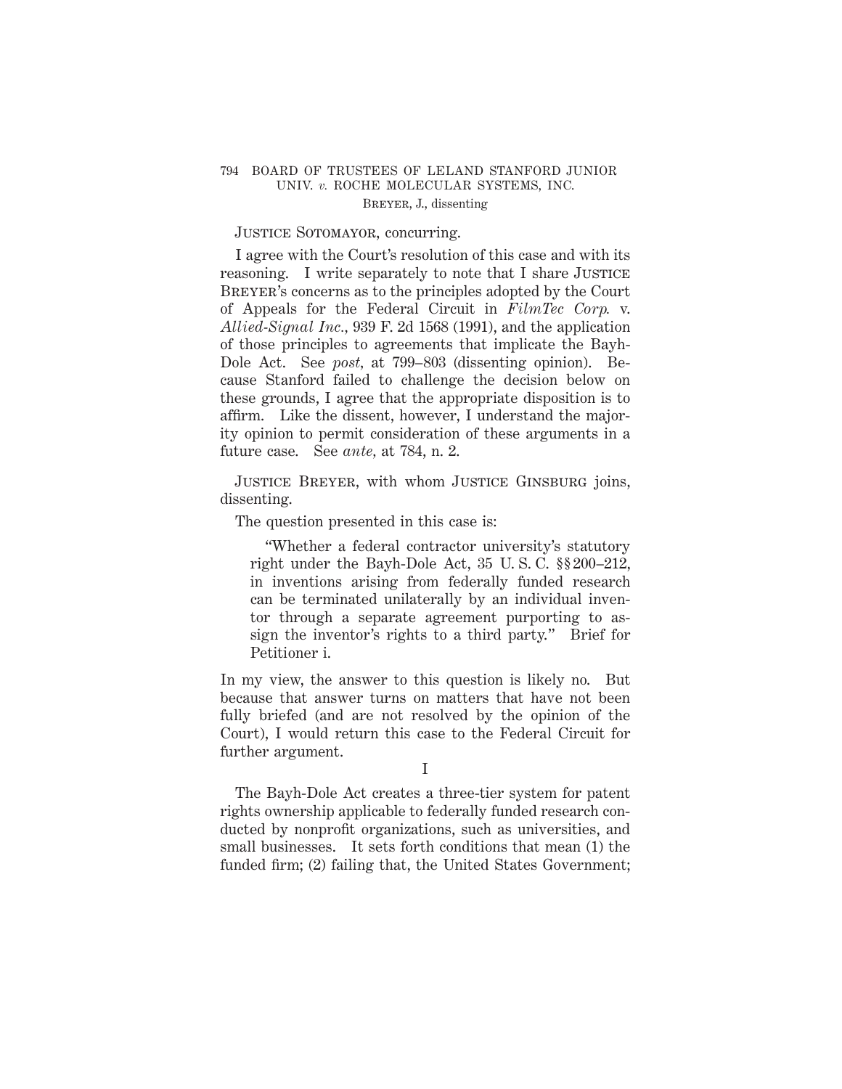## 794 BOARD OF TRUSTEES OF LELAND STANFORD JUNIOR UNIV. *v.* ROCHE MOLECULAR SYSTEMS, INC. Breyer, J., dissenting

## Justice Sotomayor, concurring.

I agree with the Court's resolution of this case and with its reasoning. I write separately to note that I share JUSTICE BREYER's concerns as to the principles adopted by the Court of Appeals for the Federal Circuit in *FilmTec Corp.* v. *Allied-Signal Inc.,* 939 F. 2d 1568 (1991), and the application of those principles to agreements that implicate the Bayh-Dole Act. See *post,* at 799–803 (dissenting opinion). Because Stanford failed to challenge the decision below on these grounds, I agree that the appropriate disposition is to affirm. Like the dissent, however, I understand the majority opinion to permit consideration of these arguments in a future case. See *ante,* at 784, n. 2.

Justice Breyer, with whom Justice Ginsburg joins, dissenting.

The question presented in this case is:

"Whether a federal contractor university's statutory right under the Bayh-Dole Act, 35 U. S. C. §§ 200–212, in inventions arising from federally funded research can be terminated unilaterally by an individual inventor through a separate agreement purporting to assign the inventor's rights to a third party." Brief for Petitioner i.

In my view, the answer to this question is likely no. But because that answer turns on matters that have not been fully briefed (and are not resolved by the opinion of the Court), I would return this case to the Federal Circuit for further argument.

The Bayh-Dole Act creates a three-tier system for patent rights ownership applicable to federally funded research conducted by nonprofit organizations, such as universities, and small businesses. It sets forth conditions that mean (1) the funded firm; (2) failing that, the United States Government;

I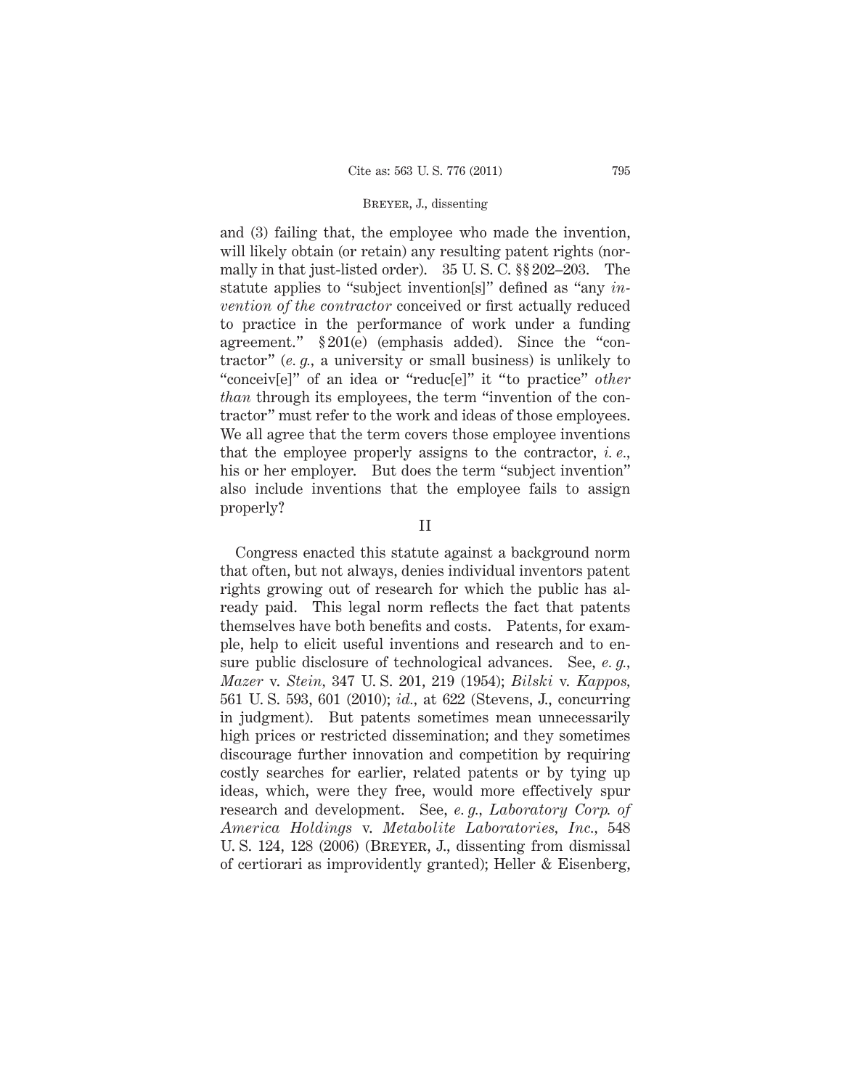#### Breyer, J., dissenting

and (3) failing that, the employee who made the invention, will likely obtain (or retain) any resulting patent rights (normally in that just-listed order). 35 U. S. C. §§ 202–203. The statute applies to "subject invention[s]" defined as "any *invention of the contractor* conceived or first actually reduced to practice in the performance of work under a funding agreement." § 201(e) (emphasis added). Since the "contractor" (*e. g.,* a university or small business) is unlikely to "conceiv[e]" of an idea or "reduc[e]" it "to practice" *other than* through its employees, the term "invention of the contractor" must refer to the work and ideas of those employees. We all agree that the term covers those employee inventions that the employee properly assigns to the contractor, *i. e.,* his or her employer. But does the term "subject invention" also include inventions that the employee fails to assign properly?

#### II

Congress enacted this statute against a background norm that often, but not always, denies individual inventors patent rights growing out of research for which the public has already paid. This legal norm reflects the fact that patents themselves have both benefits and costs. Patents, for example, help to elicit useful inventions and research and to ensure public disclosure of technological advances. See, *e. g., Mazer* v. *Stein,* 347 U. S. 201, 219 (1954); *Bilski* v. *Kappos,* 561 U. S. 593, 601 (2010); *id.,* at 622 (Stevens, J., concurring in judgment). But patents sometimes mean unnecessarily high prices or restricted dissemination; and they sometimes discourage further innovation and competition by requiring costly searches for earlier, related patents or by tying up ideas, which, were they free, would more effectively spur research and development. See, *e. g., Laboratory Corp. of America Holdings* v. *Metabolite Laboratories, Inc.,* 548 U. S. 124, 128 (2006) (Breyer, J., dissenting from dismissal of certiorari as improvidently granted); Heller & Eisenberg,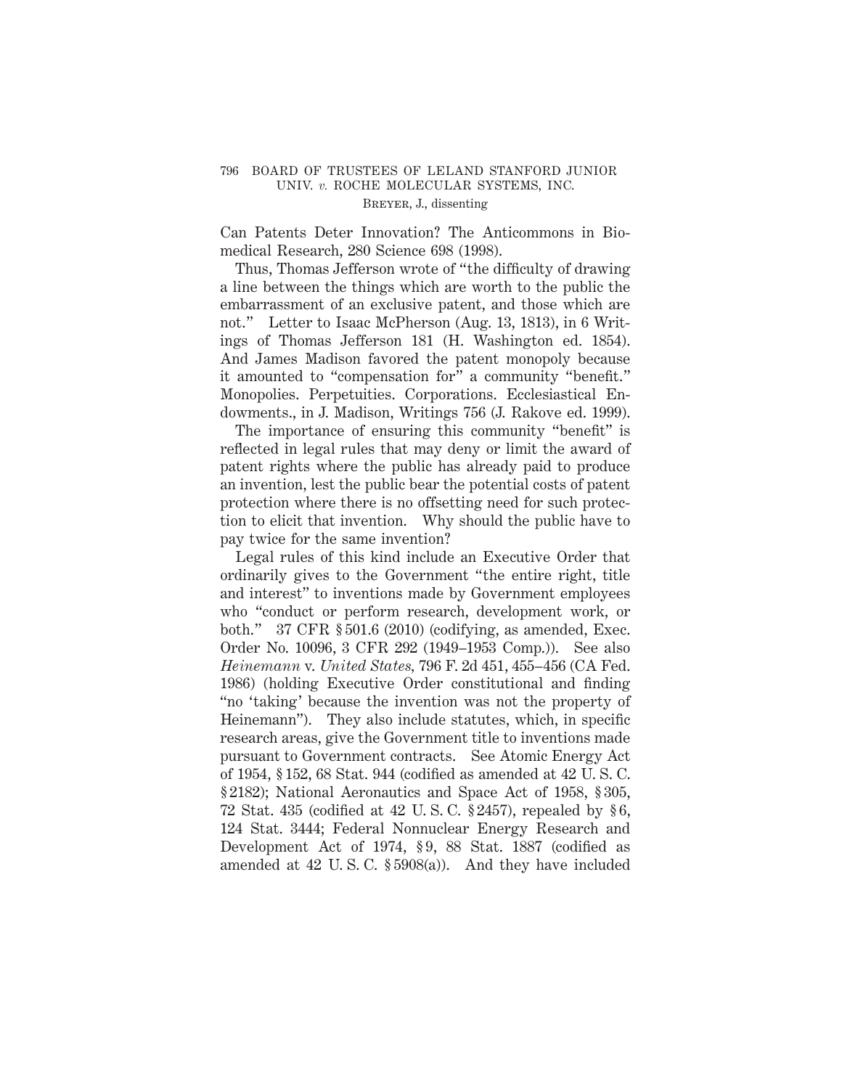## 796 BOARD OF TRUSTEES OF LELAND STANFORD JUNIOR UNIV. *v.* ROCHE MOLECULAR SYSTEMS, INC. Breyer, J., dissenting

Can Patents Deter Innovation? The Anticommons in Biomedical Research, 280 Science 698 (1998).

Thus, Thomas Jefferson wrote of "the difficulty of drawing a line between the things which are worth to the public the embarrassment of an exclusive patent, and those which are not." Letter to Isaac McPherson (Aug. 13, 1813), in 6 Writings of Thomas Jefferson 181 (H. Washington ed. 1854). And James Madison favored the patent monopoly because it amounted to "compensation for" a community "benefit." Monopolies. Perpetuities. Corporations. Ecclesiastical Endowments., in J. Madison, Writings 756 (J. Rakove ed. 1999).

The importance of ensuring this community "benefit" is reflected in legal rules that may deny or limit the award of patent rights where the public has already paid to produce an invention, lest the public bear the potential costs of patent protection where there is no offsetting need for such protection to elicit that invention. Why should the public have to pay twice for the same invention?

Legal rules of this kind include an Executive Order that ordinarily gives to the Government "the entire right, title and interest" to inventions made by Government employees who "conduct or perform research, development work, or both." 37 CFR § 501.6 (2010) (codifying, as amended, Exec. Order No. 10096, 3 CFR 292 (1949–1953 Comp.)). See also *Heinemann* v. *United States,* 796 F. 2d 451, 455–456 (CA Fed. 1986) (holding Executive Order constitutional and finding "no 'taking' because the invention was not the property of Heinemann"). They also include statutes, which, in specific research areas, give the Government title to inventions made pursuant to Government contracts. See Atomic Energy Act of 1954, § 152, 68 Stat. 944 (codified as amended at 42 U. S. C. § 2182); National Aeronautics and Space Act of 1958, § 305, 72 Stat. 435 (codified at 42 U. S. C. § 2457), repealed by § 6, 124 Stat. 3444; Federal Nonnuclear Energy Research and Development Act of 1974, § 9, 88 Stat. 1887 (codified as amended at 42 U. S. C. § 5908(a)). And they have included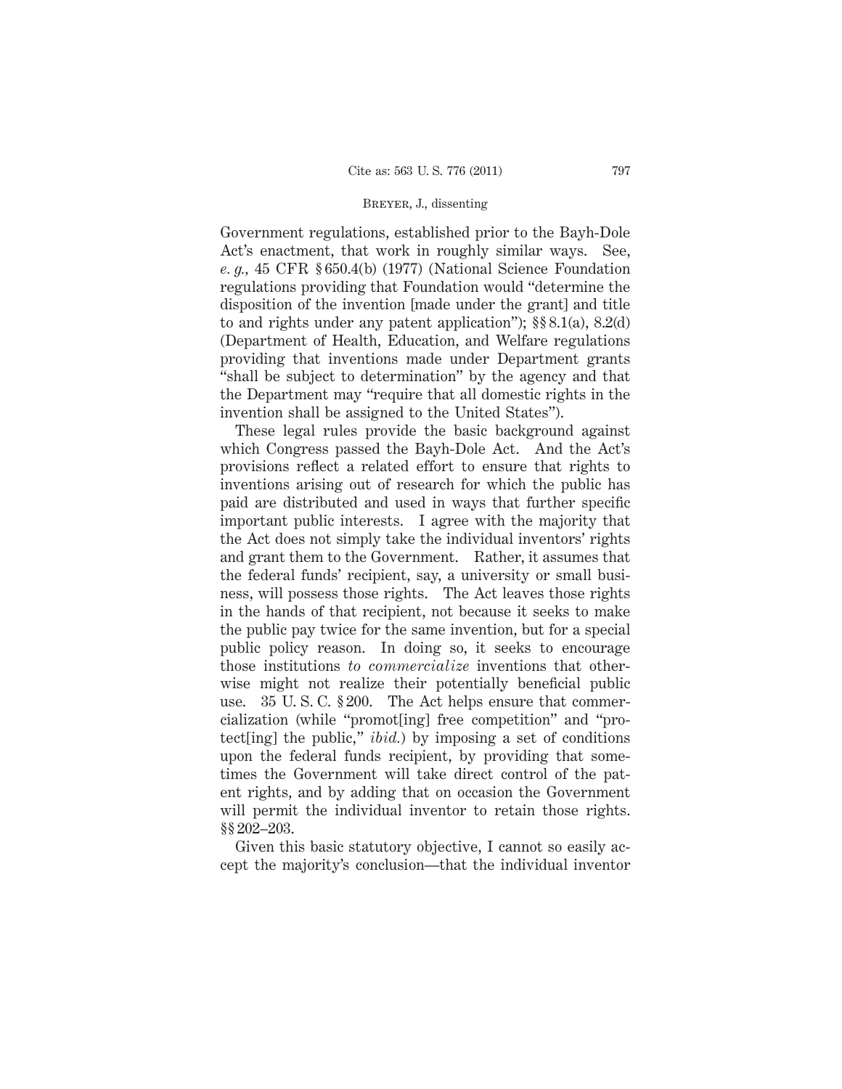#### Breyer, J., dissenting

Government regulations, established prior to the Bayh-Dole Act's enactment, that work in roughly similar ways. See, *e. g.,* 45 CFR § 650.4(b) (1977) (National Science Foundation regulations providing that Foundation would "determine the disposition of the invention [made under the grant] and title to and rights under any patent application"); §§ 8.1(a), 8.2(d) (Department of Health, Education, and Welfare regulations providing that inventions made under Department grants "shall be subject to determination" by the agency and that the Department may "require that all domestic rights in the invention shall be assigned to the United States").

These legal rules provide the basic background against which Congress passed the Bayh-Dole Act. And the Act's provisions reflect a related effort to ensure that rights to inventions arising out of research for which the public has paid are distributed and used in ways that further specific important public interests. I agree with the majority that the Act does not simply take the individual inventors' rights and grant them to the Government. Rather, it assumes that the federal funds' recipient, say, a university or small business, will possess those rights. The Act leaves those rights in the hands of that recipient, not because it seeks to make the public pay twice for the same invention, but for a special public policy reason. In doing so, it seeks to encourage those institutions *to commercialize* inventions that otherwise might not realize their potentially beneficial public use. 35 U. S. C. § 200. The Act helps ensure that commercialization (while "promot[ing] free competition" and "protect[ing] the public," *ibid.*) by imposing a set of conditions upon the federal funds recipient, by providing that sometimes the Government will take direct control of the patent rights, and by adding that on occasion the Government will permit the individual inventor to retain those rights. §§ 202–203.

Given this basic statutory objective, I cannot so easily accept the majority's conclusion—that the individual inventor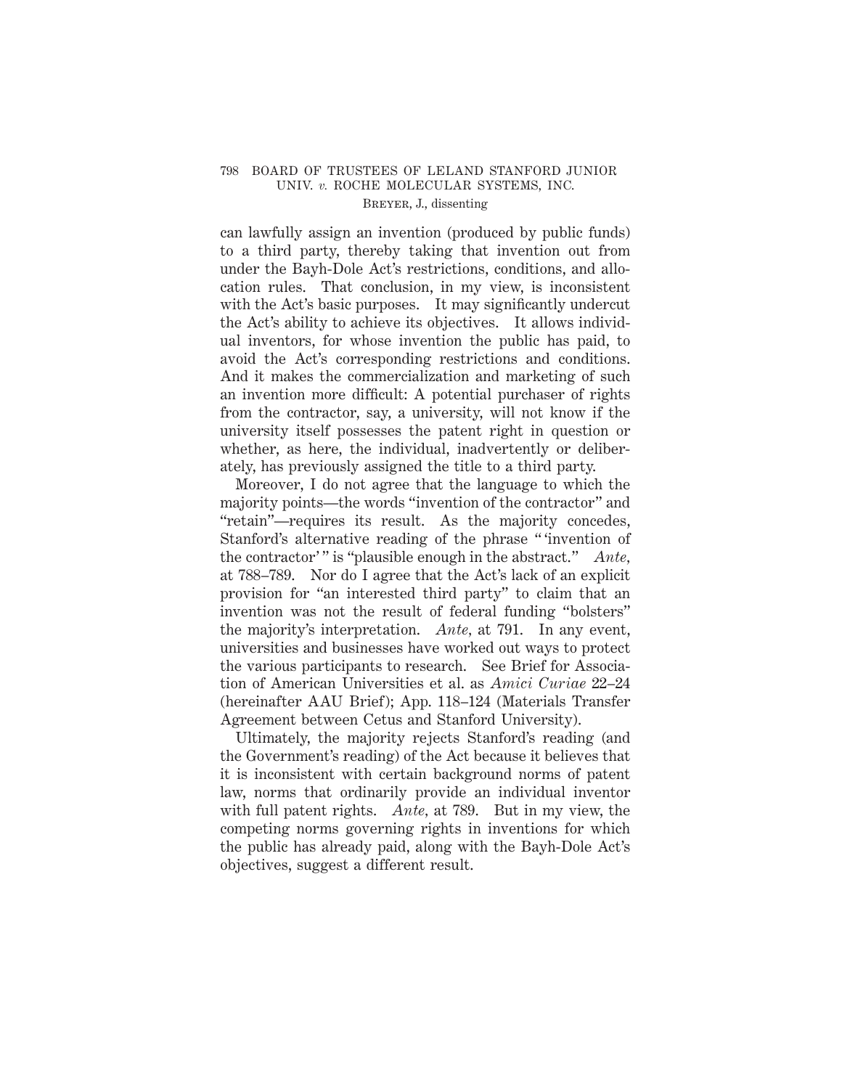## 798 BOARD OF TRUSTEES OF LELAND STANFORD JUNIOR UNIV. *v.* ROCHE MOLECULAR SYSTEMS, INC. Breyer, J., dissenting

can lawfully assign an invention (produced by public funds) to a third party, thereby taking that invention out from under the Bayh-Dole Act's restrictions, conditions, and allocation rules. That conclusion, in my view, is inconsistent with the Act's basic purposes. It may significantly undercut the Act's ability to achieve its objectives. It allows individual inventors, for whose invention the public has paid, to avoid the Act's corresponding restrictions and conditions. And it makes the commercialization and marketing of such an invention more difficult: A potential purchaser of rights from the contractor, say, a university, will not know if the university itself possesses the patent right in question or whether, as here, the individual, inadvertently or deliberately, has previously assigned the title to a third party.

Moreover, I do not agree that the language to which the majority points—the words "invention of the contractor" and "retain"—requires its result. As the majority concedes, Stanford's alternative reading of the phrase " 'invention of the contractor' " is "plausible enough in the abstract." *Ante,* at 788–789. Nor do I agree that the Act's lack of an explicit provision for "an interested third party" to claim that an invention was not the result of federal funding "bolsters" the majority's interpretation. *Ante,* at 791. In any event, universities and businesses have worked out ways to protect the various participants to research. See Brief for Association of American Universities et al. as *Amici Curiae* 22–24 (hereinafter AAU Brief); App. 118–124 (Materials Transfer Agreement between Cetus and Stanford University).

Ultimately, the majority rejects Stanford's reading (and the Government's reading) of the Act because it believes that it is inconsistent with certain background norms of patent law, norms that ordinarily provide an individual inventor with full patent rights. *Ante,* at 789. But in my view, the competing norms governing rights in inventions for which the public has already paid, along with the Bayh-Dole Act's objectives, suggest a different result.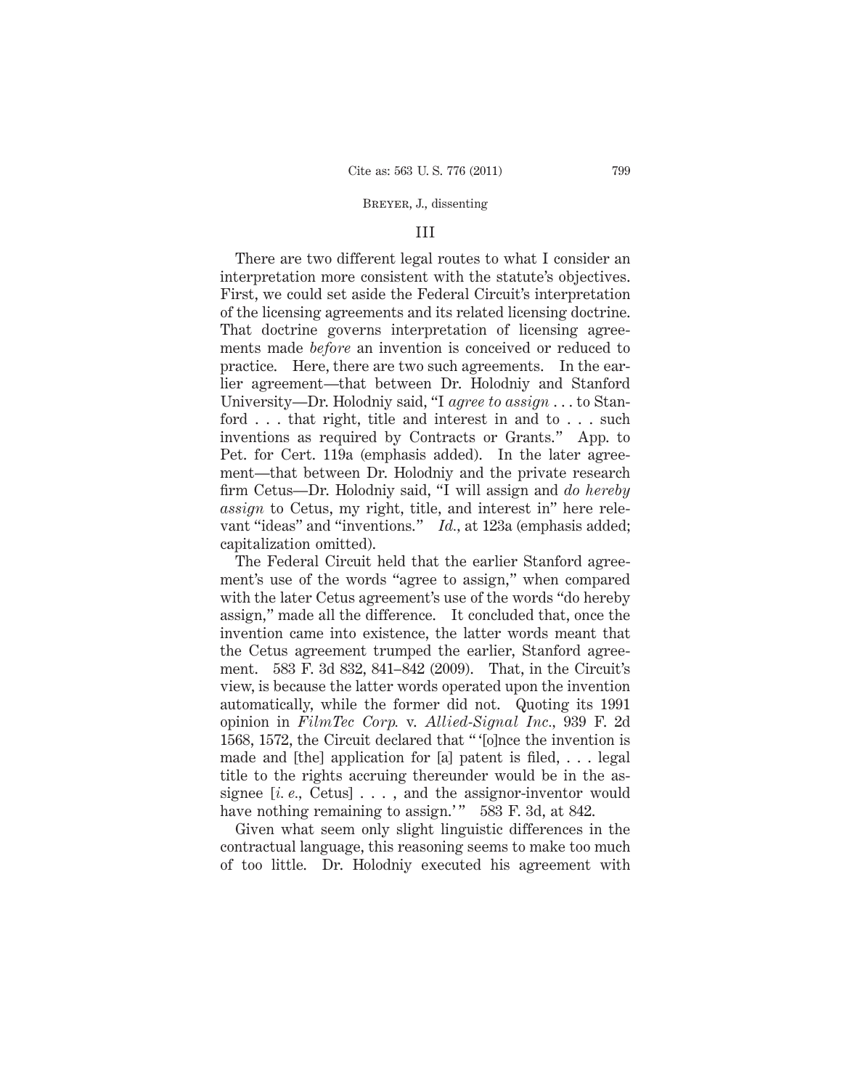#### Breyer, J., dissenting

### III

There are two different legal routes to what I consider an interpretation more consistent with the statute's objectives. First, we could set aside the Federal Circuit's interpretation of the licensing agreements and its related licensing doctrine. That doctrine governs interpretation of licensing agreements made *before* an invention is conceived or reduced to practice. Here, there are two such agreements. In the earlier agreement—that between Dr. Holodniy and Stanford University—Dr. Holodniy said, "I *agree to assign* . . . to Stanford . . . that right, title and interest in and to . . . such inventions as required by Contracts or Grants." App. to Pet. for Cert. 119a (emphasis added). In the later agreement—that between Dr. Holodniy and the private research firm Cetus—Dr. Holodniy said, "I will assign and *do hereby assign* to Cetus, my right, title, and interest in" here relevant "ideas" and "inventions." *Id.,* at 123a (emphasis added; capitalization omitted).

The Federal Circuit held that the earlier Stanford agreement's use of the words "agree to assign," when compared with the later Cetus agreement's use of the words "do hereby assign," made all the difference. It concluded that, once the invention came into existence, the latter words meant that the Cetus agreement trumped the earlier, Stanford agreement. 583 F. 3d 832, 841–842 (2009). That, in the Circuit's view, is because the latter words operated upon the invention automatically, while the former did not. Quoting its 1991 opinion in *FilmTec Corp.* v. *Allied-Signal Inc.,* 939 F. 2d 1568, 1572, the Circuit declared that " '[o]nce the invention is made and [the] application for [a] patent is filed, . . . legal title to the rights accruing thereunder would be in the assignee [*i. e.,* Cetus] . . . , and the assignor-inventor would have nothing remaining to assign.'" 583 F. 3d, at 842.

Given what seem only slight linguistic differences in the contractual language, this reasoning seems to make too much of too little. Dr. Holodniy executed his agreement with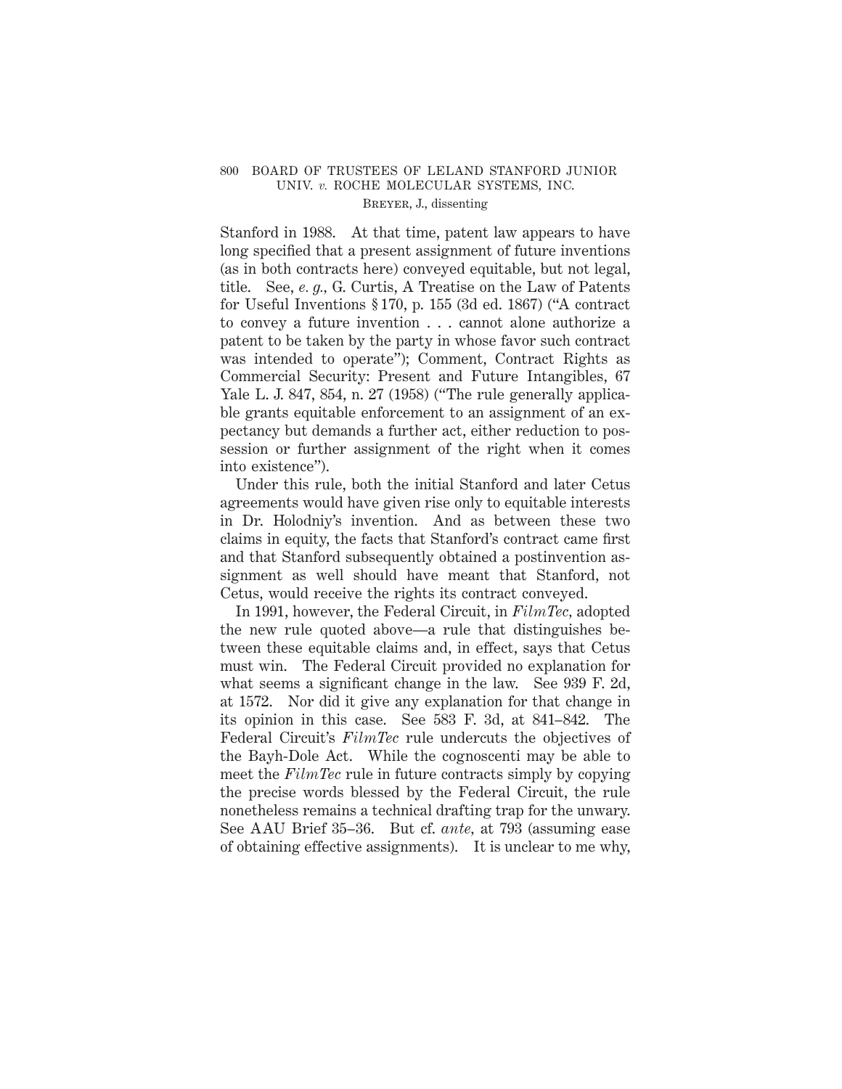## 800 BOARD OF TRUSTEES OF LELAND STANFORD JUNIOR UNIV. *v.* ROCHE MOLECULAR SYSTEMS, INC. Breyer, J., dissenting

Stanford in 1988. At that time, patent law appears to have long specified that a present assignment of future inventions (as in both contracts here) conveyed equitable, but not legal, title. See, *e. g.,* G. Curtis, A Treatise on the Law of Patents for Useful Inventions § 170, p. 155 (3d ed. 1867) ("A contract to convey a future invention . . . cannot alone authorize a patent to be taken by the party in whose favor such contract was intended to operate"); Comment, Contract Rights as Commercial Security: Present and Future Intangibles, 67 Yale L. J. 847, 854, n. 27 (1958) ("The rule generally applicable grants equitable enforcement to an assignment of an expectancy but demands a further act, either reduction to possession or further assignment of the right when it comes into existence").

Under this rule, both the initial Stanford and later Cetus agreements would have given rise only to equitable interests in Dr. Holodniy's invention. And as between these two claims in equity, the facts that Stanford's contract came first and that Stanford subsequently obtained a postinvention assignment as well should have meant that Stanford, not Cetus, would receive the rights its contract conveyed.

In 1991, however, the Federal Circuit, in *FilmTec,* adopted the new rule quoted above—a rule that distinguishes between these equitable claims and, in effect, says that Cetus must win. The Federal Circuit provided no explanation for what seems a significant change in the law. See 939 F. 2d, at 1572. Nor did it give any explanation for that change in its opinion in this case. See 583 F. 3d, at 841–842. The Federal Circuit's *FilmTec* rule undercuts the objectives of the Bayh-Dole Act. While the cognoscenti may be able to meet the *FilmTec* rule in future contracts simply by copying the precise words blessed by the Federal Circuit, the rule nonetheless remains a technical drafting trap for the unwary. See AAU Brief 35–36. But cf. *ante,* at 793 (assuming ease of obtaining effective assignments). It is unclear to me why,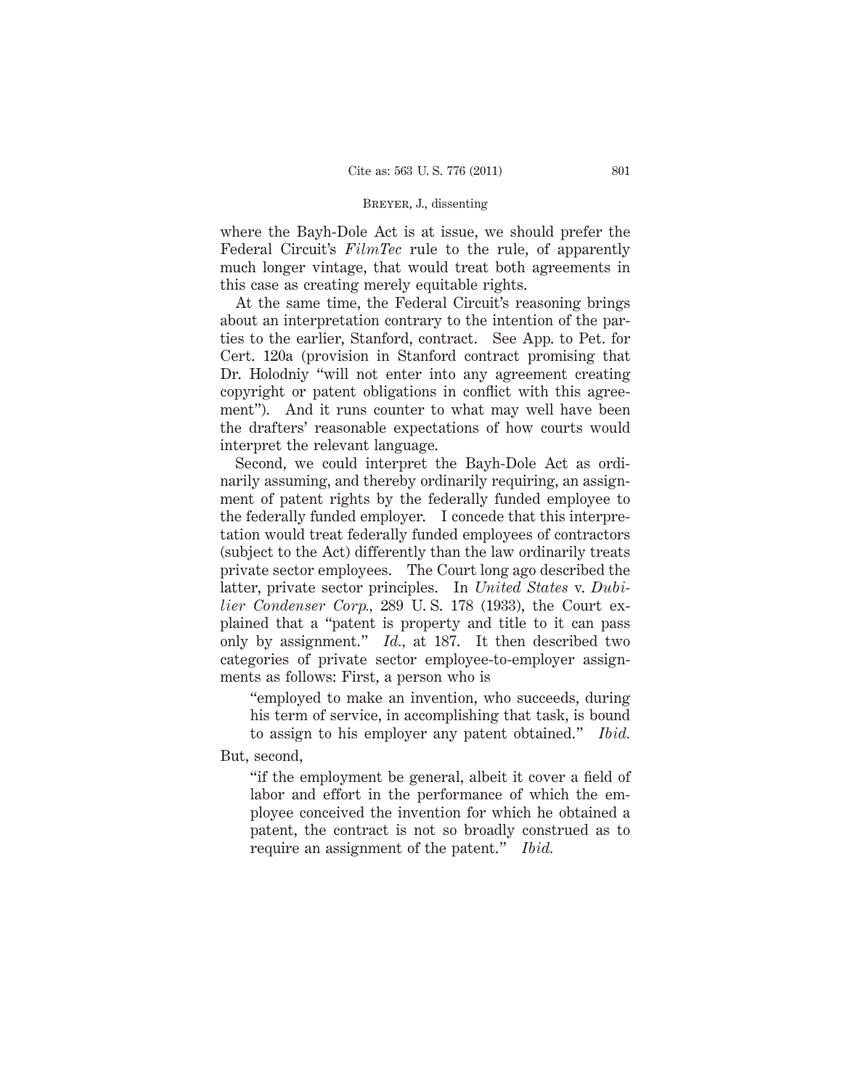#### Breyer, J., dissenting

where the Bayh-Dole Act is at issue, we should prefer the Federal Circuit's *FilmTec* rule to the rule, of apparently much longer vintage, that would treat both agreements in this case as creating merely equitable rights.

At the same time, the Federal Circuit's reasoning brings about an interpretation contrary to the intention of the parties to the earlier, Stanford, contract. See App. to Pet. for Cert. 120a (provision in Stanford contract promising that Dr. Holodniy "will not enter into any agreement creating copyright or patent obligations in conflict with this agreement"). And it runs counter to what may well have been the drafters' reasonable expectations of how courts would interpret the relevant language.

Second, we could interpret the Bayh-Dole Act as ordinarily assuming, and thereby ordinarily requiring, an assignment of patent rights by the federally funded employee to the federally funded employer. I concede that this interpretation would treat federally funded employees of contractors (subject to the Act) differently than the law ordinarily treats private sector employees. The Court long ago described the latter, private sector principles. In *United States* v. *Dubilier Condenser Corp.,* 289 U. S. 178 (1933), the Court explained that a "patent is property and title to it can pass only by assignment." *Id.,* at 187. It then described two categories of private sector employee-to-employer assignments as follows: First, a person who is

"employed to make an invention, who succeeds, during his term of service, in accomplishing that task, is bound to assign to his employer any patent obtained." *Ibid.*

But, second,

"if the employment be general, albeit it cover a field of labor and effort in the performance of which the employee conceived the invention for which he obtained a patent, the contract is not so broadly construed as to require an assignment of the patent." *Ibid.*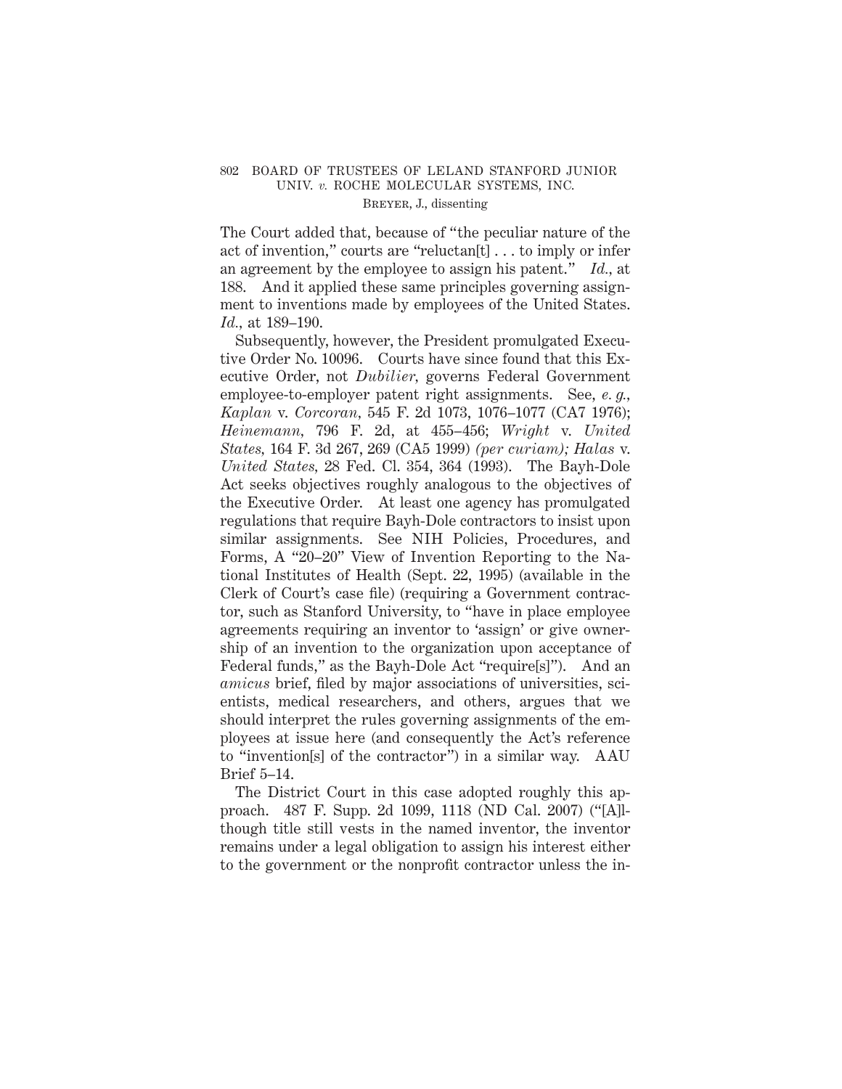## 802 BOARD OF TRUSTEES OF LELAND STANFORD JUNIOR UNIV. *v.* ROCHE MOLECULAR SYSTEMS, INC. Breyer, J., dissenting

The Court added that, because of "the peculiar nature of the act of invention," courts are "reluctan[t] . . . to imply or infer an agreement by the employee to assign his patent." *Id.,* at 188. And it applied these same principles governing assignment to inventions made by employees of the United States. *Id.,* at 189–190.

Subsequently, however, the President promulgated Executive Order No. 10096. Courts have since found that this Executive Order, not *Dubilier,* governs Federal Government employee-to-employer patent right assignments. See, *e. g., Kaplan* v. *Corcoran,* 545 F. 2d 1073, 1076–1077 (CA7 1976); *Heinemann,* 796 F. 2d, at 455–456; *Wright* v. *United States,* 164 F. 3d 267, 269 (CA5 1999) *(per curiam); Halas* v. *United States,* 28 Fed. Cl. 354, 364 (1993). The Bayh-Dole Act seeks objectives roughly analogous to the objectives of the Executive Order. At least one agency has promulgated regulations that require Bayh-Dole contractors to insist upon similar assignments. See NIH Policies, Procedures, and Forms, A "20–20" View of Invention Reporting to the National Institutes of Health (Sept. 22, 1995) (available in the Clerk of Court's case file) (requiring a Government contractor, such as Stanford University, to "have in place employee agreements requiring an inventor to 'assign' or give ownership of an invention to the organization upon acceptance of Federal funds," as the Bayh-Dole Act "require[s]"). And an *amicus* brief, filed by major associations of universities, scientists, medical researchers, and others, argues that we should interpret the rules governing assignments of the employees at issue here (and consequently the Act's reference to "invention[s] of the contractor") in a similar way. AAU Brief 5–14.

The District Court in this case adopted roughly this approach. 487 F. Supp. 2d 1099, 1118 (ND Cal. 2007) ("[A]lthough title still vests in the named inventor, the inventor remains under a legal obligation to assign his interest either to the government or the nonprofit contractor unless the in